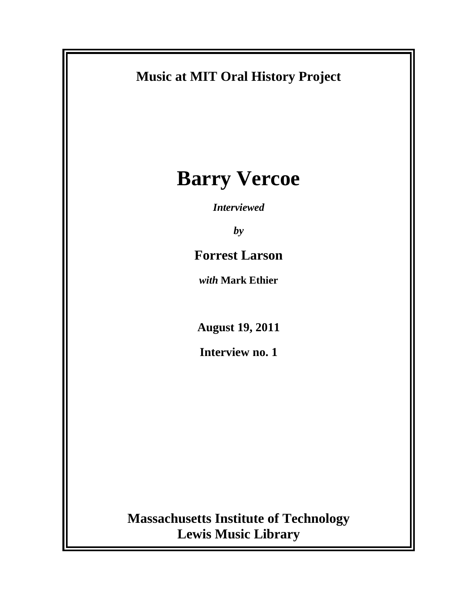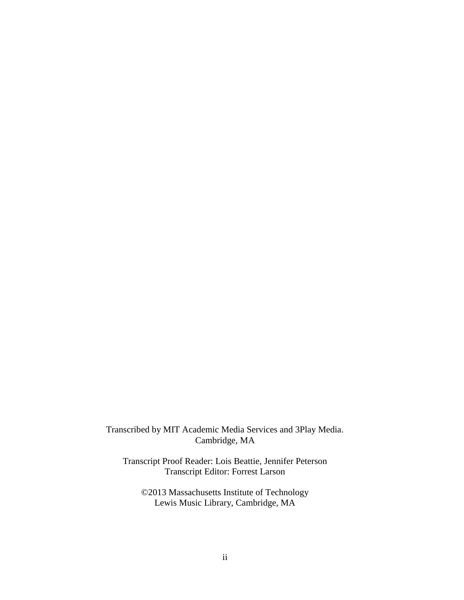Transcribed by MIT Academic Media Services and 3Play Media. Cambridge, MA

Transcript Proof Reader: Lois Beattie, Jennifer Peterson Transcript Editor: Forrest Larson

©2013 Massachusetts Institute of Technology Lewis Music Library, Cambridge, MA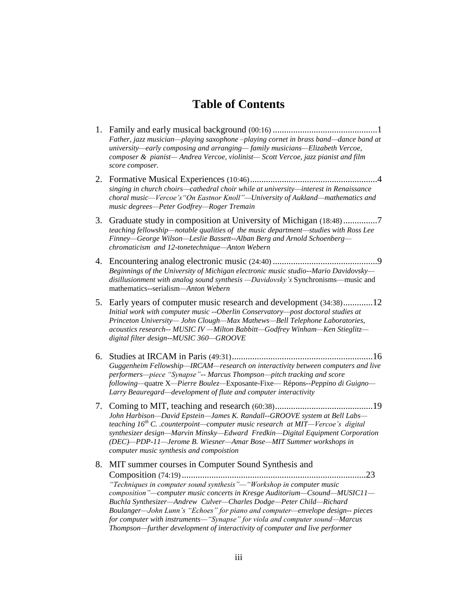## **Table of Contents**

- 1. Family and early musical background (00:16) ..............................................1 *Father, jazz musician—playing saxophone –playing cornet in brass band—dance band at university—early composing and arranging— family musicians—Elizabeth Vercoe, composer & pianist— Andrea Vercoe, violinist— Scott Vercoe, jazz pianist and film score composer.*
- 2. Formative Musical Experiences (10:46)........................................................4 *singing in church choirs—cathedral choir while at university—interest in Renaissance choral music—Vercoe's"On Eastnor Knoll"—University of Aukland—mathematics and music degrees—Peter Godfrey—Roger Tremain*
- 3. Graduate study in composition at University of Michigan (18:48)...............7 *teaching fellowship—notable qualities of the music department—studies with Ross Lee Finney—George Wilson—Leslie Bassett--Alban Berg and Arnold Schoenberg chromaticism and 12-tonetechnique—Anton Webern*
- 4. Encountering analog electronic music (24:40) ..............................................9 *Beginnings of the University of Michigan electronic music studio--Mario Davidovsky disillusionment with analog sound synthesis —Davidovsky's* Synchronisms—music and mathematics--serialism*—Anton Webern*
- 5. Early years of computer music research and development (34:38).............12 *Initial work with computer music --Oberlin Conservatory—post doctoral studies at Princeton University— John Clough—Max Mathews—Bell Telephone Laboratories, acoustics research-- MUSIC IV —Milton Babbitt—Godfrey Winham—Ken Stieglitz digital filter design--MUSIC 360—GROOVE*
- 6. Studies at IRCAM in Paris (49:31)..............................................................16 *Guggenheim Fellowship—IRCAM—research on interactivity between computers and live performers—piece "Synapse"-- Marcus Thompson—pitch tracking and score following—*quatre X*—Pierre Boulez—*Exposante-Fixe— Répons*--Peppino di Guigno— Larry Beauregard—development of flute and computer interactivity*
- 7. Coming to MIT, teaching and research (60:38)...........................................19 *John Harbison—David Epstein—James K. Randall--GROOVE system at Bell Labs teaching 16th C. .counterpoint—computer music research at MIT—Vercoe's digital synthesizer design—Marvin Minsky—Edward Fredkin—Digital Equipment Corporation (DEC)—PDP-11—Jerome B. Wiesner—Amar Bose—MIT Summer workshops in computer music synthesis and compoistion*
- 8. MIT summer courses in Computer Sound Synthesis and Composition (74:19).................................................................................23 *"Techniques in computer sound synthesis"—"Workshop in computer music composition"—computer music concerts in Kresge Auditorium—Csound—MUSIC11— Buchla Synthesizer—Andrew Culver—Charles Dodge—Peter Child—Richard Boulanger—John Lunn's "Echoes" for piano and computer—envelope design-- pieces for computer with instruments—"Synapse" for viola and computer sound—Marcus Thompson—further development of interactivity of computer and live performer*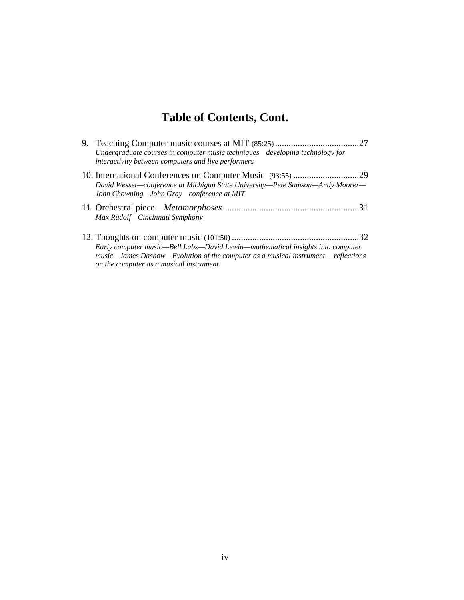# **Table of Contents, Cont.**

| Undergraduate courses in computer music techniques—developing technology for<br>interactivity between computers and live performers |  |
|-------------------------------------------------------------------------------------------------------------------------------------|--|
| David Wessel—conference at Michigan State University—Pete Samson—Andy Moorer—<br>John Chowning—John Gray—conference at MIT          |  |
| Max Rudolf-Cincinnati Symphony                                                                                                      |  |
| Early computer music—Bell Labs—David Lewin—mathematical insights into computer                                                      |  |

*music—James Dashow—Evolution of the computer as a musical instrument —reflections* 

*on the computer as a musical instrument*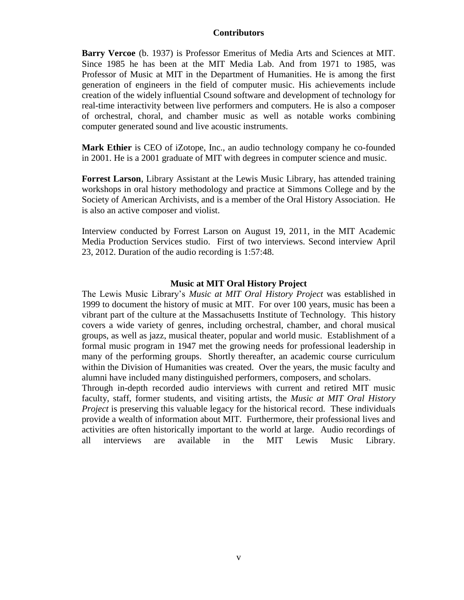#### **Contributors**

**Barry Vercoe** (b. 1937) is Professor Emeritus of Media Arts and Sciences at MIT. Since 1985 he has been at the MIT Media Lab. And from 1971 to 1985, was Professor of Music at MIT in the Department of Humanities. He is among the first generation of engineers in the field of computer music. His achievements include creation of the widely influential Csound software and development of technology for real-time interactivity between live performers and computers. He is also a composer of orchestral, choral, and chamber music as well as notable works combining computer generated sound and live acoustic instruments.

**Mark Ethier** is CEO of iZotope, Inc., an audio technology company he co-founded in 2001. He is a 2001 graduate of MIT with degrees in computer science and music.

**Forrest Larson**, Library Assistant at the Lewis Music Library, has attended training workshops in oral history methodology and practice at Simmons College and by the Society of American Archivists, and is a member of the Oral History Association. He is also an active composer and violist.

Interview conducted by Forrest Larson on August 19, 2011, in the MIT Academic Media Production Services studio. First of two interviews. Second interview April 23, 2012. Duration of the audio recording is 1:57:48.

#### **Music at MIT Oral History Project**

The Lewis Music Library's *Music at MIT Oral History Project* was established in 1999 to document the history of music at MIT. For over 100 years, music has been a vibrant part of the culture at the Massachusetts Institute of Technology. This history covers a wide variety of genres, including orchestral, chamber, and choral musical groups, as well as jazz, musical theater, popular and world music. Establishment of a formal music program in 1947 met the growing needs for professional leadership in many of the performing groups. Shortly thereafter, an academic course curriculum within the Division of Humanities was created. Over the years, the music faculty and alumni have included many distinguished performers, composers, and scholars.

Through in-depth recorded audio interviews with current and retired MIT music faculty, staff, former students, and visiting artists, the *Music at MIT Oral History Project* is preserving this valuable legacy for the historical record. These individuals provide a wealth of information about MIT. Furthermore, their professional lives and activities are often historically important to the world at large. Audio recordings of all interviews are available in the MIT Lewis Music Library.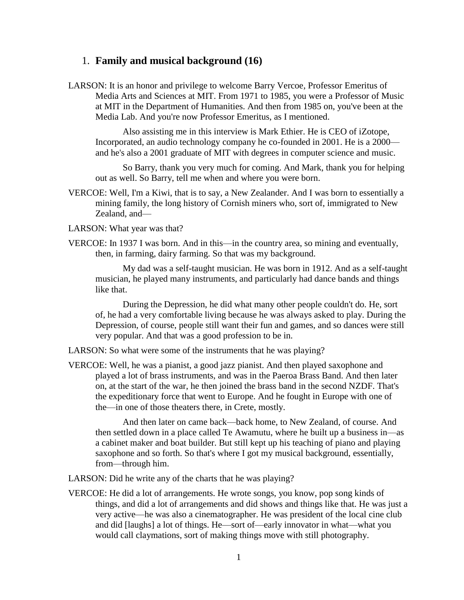#### 1. **Family and musical background (16)**

LARSON: It is an honor and privilege to welcome Barry Vercoe, Professor Emeritus of Media Arts and Sciences at MIT. From 1971 to 1985, you were a Professor of Music at MIT in the Department of Humanities. And then from 1985 on, you've been at the Media Lab. And you're now Professor Emeritus, as I mentioned.

Also assisting me in this interview is Mark Ethier. He is CEO of iZotope, Incorporated, an audio technology company he co-founded in 2001. He is a 2000 and he's also a 2001 graduate of MIT with degrees in computer science and music.

So Barry, thank you very much for coming. And Mark, thank you for helping out as well. So Barry, tell me when and where you were born.

- VERCOE: Well, I'm a Kiwi, that is to say, a New Zealander. And I was born to essentially a mining family, the long history of Cornish miners who, sort of, immigrated to New Zealand, and—
- LARSON: What year was that?
- VERCOE: In 1937 I was born. And in this—in the country area, so mining and eventually, then, in farming, dairy farming. So that was my background.

My dad was a self-taught musician. He was born in 1912. And as a self-taught musician, he played many instruments, and particularly had dance bands and things like that.

During the Depression, he did what many other people couldn't do. He, sort of, he had a very comfortable living because he was always asked to play. During the Depression, of course, people still want their fun and games, and so dances were still very popular. And that was a good profession to be in.

LARSON: So what were some of the instruments that he was playing?

VERCOE: Well, he was a pianist, a good jazz pianist. And then played saxophone and played a lot of brass instruments, and was in the Paeroa Brass Band. And then later on, at the start of the war, he then joined the brass band in the second NZDF. That's the expeditionary force that went to Europe. And he fought in Europe with one of the—in one of those theaters there, in Crete, mostly.

And then later on came back—back home, to New Zealand, of course. And then settled down in a place called Te Awamutu, where he built up a business in—as a cabinet maker and boat builder. But still kept up his teaching of piano and playing saxophone and so forth. So that's where I got my musical background, essentially, from—through him.

LARSON: Did he write any of the charts that he was playing?

VERCOE: He did a lot of arrangements. He wrote songs, you know, pop song kinds of things, and did a lot of arrangements and did shows and things like that. He was just a very active—he was also a cinematographer. He was president of the local cine club and did [laughs] a lot of things. He—sort of—early innovator in what—what you would call claymations, sort of making things move with still photography.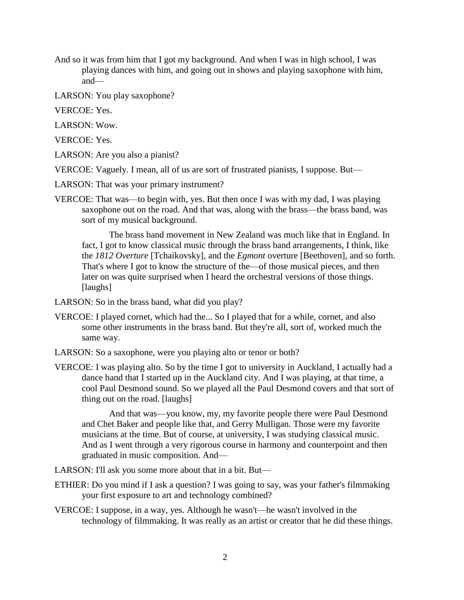- And so it was from him that I got my background. And when I was in high school, I was playing dances with him, and going out in shows and playing saxophone with him, and—
- LARSON: You play saxophone?
- VERCOE: Yes.
- LARSON: Wow.
- VERCOE: Yes.
- LARSON: Are you also a pianist?
- VERCOE: Vaguely. I mean, all of us are sort of frustrated pianists, I suppose. But—
- LARSON: That was your primary instrument?
- VERCOE: That was—to begin with, yes. But then once I was with my dad, I was playing saxophone out on the road. And that was, along with the brass—the brass band, was sort of my musical background.

The brass band movement in New Zealand was much like that in England. In fact, I got to know classical music through the brass band arrangements, I think, like the *1812 Overture* [Tchaikovsky], and the *Egmont* overture [Beethoven], and so forth. That's where I got to know the structure of the—of those musical pieces, and then later on was quite surprised when I heard the orchestral versions of those things. [laughs]

- LARSON: So in the brass band, what did you play?
- VERCOE: I played cornet, which had the... So I played that for a while, cornet, and also some other instruments in the brass band. But they're all, sort of, worked much the same way.
- LARSON: So a saxophone, were you playing alto or tenor or both?
- VERCOE: I was playing alto. So by the time I got to university in Auckland, I actually had a dance band that I started up in the Auckland city. And I was playing, at that time, a cool Paul Desmond sound. So we played all the Paul Desmond covers and that sort of thing out on the road. [laughs]

And that was—you know, my, my favorite people there were Paul Desmond and Chet Baker and people like that, and Gerry Mulligan. Those were my favorite musicians at the time. But of course, at university, I was studying classical music. And as I went through a very rigorous course in harmony and counterpoint and then graduated in music composition. And—

LARSON: I'll ask you some more about that in a bit. But—

- ETHIER: Do you mind if I ask a question? I was going to say, was your father's filmmaking your first exposure to art and technology combined?
- VERCOE: I suppose, in a way, yes. Although he wasn't—he wasn't involved in the technology of filmmaking. It was really as an artist or creator that he did these things.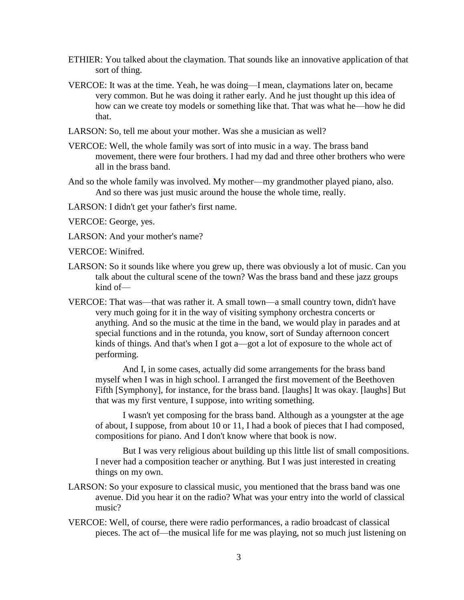- ETHIER: You talked about the claymation. That sounds like an innovative application of that sort of thing.
- VERCOE: It was at the time. Yeah, he was doing—I mean, claymations later on, became very common. But he was doing it rather early. And he just thought up this idea of how can we create toy models or something like that. That was what he—how he did that.
- LARSON: So, tell me about your mother. Was she a musician as well?
- VERCOE: Well, the whole family was sort of into music in a way. The brass band movement, there were four brothers. I had my dad and three other brothers who were all in the brass band.
- And so the whole family was involved. My mother—my grandmother played piano, also. And so there was just music around the house the whole time, really.
- LARSON: I didn't get your father's first name.
- VERCOE: George, yes.
- LARSON: And your mother's name?
- VERCOE: Winifred.
- LARSON: So it sounds like where you grew up, there was obviously a lot of music. Can you talk about the cultural scene of the town? Was the brass band and these jazz groups kind of—
- VERCOE: That was—that was rather it. A small town—a small country town, didn't have very much going for it in the way of visiting symphony orchestra concerts or anything. And so the music at the time in the band, we would play in parades and at special functions and in the rotunda, you know, sort of Sunday afternoon concert kinds of things. And that's when I got a—got a lot of exposure to the whole act of performing.

And I, in some cases, actually did some arrangements for the brass band myself when I was in high school. I arranged the first movement of the Beethoven Fifth [Symphony], for instance, for the brass band. [laughs] It was okay. [laughs] But that was my first venture, I suppose, into writing something.

I wasn't yet composing for the brass band. Although as a youngster at the age of about, I suppose, from about 10 or 11, I had a book of pieces that I had composed, compositions for piano. And I don't know where that book is now.

But I was very religious about building up this little list of small compositions. I never had a composition teacher or anything. But I was just interested in creating things on my own.

- LARSON: So your exposure to classical music, you mentioned that the brass band was one avenue. Did you hear it on the radio? What was your entry into the world of classical music?
- VERCOE: Well, of course, there were radio performances, a radio broadcast of classical pieces. The act of—the musical life for me was playing, not so much just listening on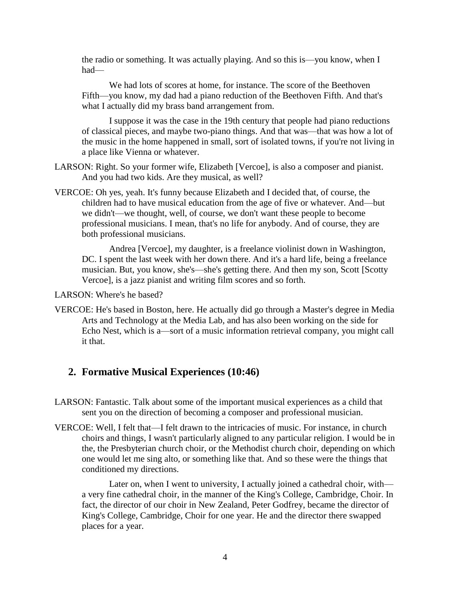the radio or something. It was actually playing. And so this is—you know, when I had—

We had lots of scores at home, for instance. The score of the Beethoven Fifth—you know, my dad had a piano reduction of the Beethoven Fifth. And that's what I actually did my brass band arrangement from.

I suppose it was the case in the 19th century that people had piano reductions of classical pieces, and maybe two-piano things. And that was—that was how a lot of the music in the home happened in small, sort of isolated towns, if you're not living in a place like Vienna or whatever.

- LARSON: Right. So your former wife, Elizabeth [Vercoe], is also a composer and pianist. And you had two kids. Are they musical, as well?
- VERCOE: Oh yes, yeah. It's funny because Elizabeth and I decided that, of course, the children had to have musical education from the age of five or whatever. And—but we didn't—we thought, well, of course, we don't want these people to become professional musicians. I mean, that's no life for anybody. And of course, they are both professional musicians.

Andrea [Vercoe], my daughter, is a freelance violinist down in Washington, DC. I spent the last week with her down there. And it's a hard life, being a freelance musician. But, you know, she's—she's getting there. And then my son, Scott [Scotty Vercoe], is a jazz pianist and writing film scores and so forth.

LARSON: Where's he based?

VERCOE: He's based in Boston, here. He actually did go through a Master's degree in Media Arts and Technology at the Media Lab, and has also been working on the side for Echo Nest, which is a—sort of a music information retrieval company, you might call it that.

## **2. Formative Musical Experiences (10:46)**

- LARSON: Fantastic. Talk about some of the important musical experiences as a child that sent you on the direction of becoming a composer and professional musician.
- VERCOE: Well, I felt that—I felt drawn to the intricacies of music. For instance, in church choirs and things, I wasn't particularly aligned to any particular religion. I would be in the, the Presbyterian church choir, or the Methodist church choir, depending on which one would let me sing alto, or something like that. And so these were the things that conditioned my directions.

Later on, when I went to university, I actually joined a cathedral choir, with a very fine cathedral choir, in the manner of the King's College, Cambridge, Choir. In fact, the director of our choir in New Zealand, Peter Godfrey, became the director of King's College, Cambridge, Choir for one year. He and the director there swapped places for a year.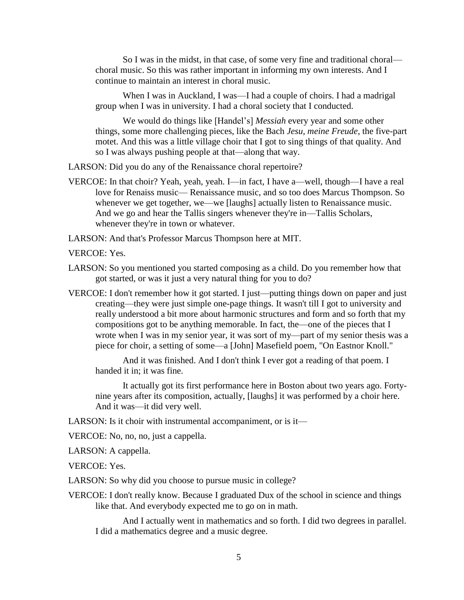So I was in the midst, in that case, of some very fine and traditional choral choral music. So this was rather important in informing my own interests. And I continue to maintain an interest in choral music.

When I was in Auckland, I was—I had a couple of choirs. I had a madrigal group when I was in university. I had a choral society that I conducted.

We would do things like [Handel's] *Messiah* every year and some other things, some more challenging pieces, like the Bach *Jesu, meine Freude*, the five-part motet. And this was a little village choir that I got to sing things of that quality. And so I was always pushing people at that—along that way.

LARSON: Did you do any of the Renaissance choral repertoire?

VERCOE: In that choir? Yeah, yeah, yeah. I—in fact, I have a—well, though—I have a real love for Renaiss music— Renaissance music, and so too does Marcus Thompson. So whenever we get together, we—we [laughs] actually listen to Renaissance music. And we go and hear the Tallis singers whenever they're in—Tallis Scholars, whenever they're in town or whatever.

LARSON: And that's Professor Marcus Thompson here at MIT.

VERCOE: Yes.

- LARSON: So you mentioned you started composing as a child. Do you remember how that got started, or was it just a very natural thing for you to do?
- VERCOE: I don't remember how it got started. I just—putting things down on paper and just creating—they were just simple one-page things. It wasn't till I got to university and really understood a bit more about harmonic structures and form and so forth that my compositions got to be anything memorable. In fact, the—one of the pieces that I wrote when I was in my senior year, it was sort of my—part of my senior thesis was a piece for choir, a setting of some—a [John] Masefield poem, "On Eastnor Knoll."

And it was finished. And I don't think I ever got a reading of that poem. I handed it in; it was fine.

It actually got its first performance here in Boston about two years ago. Fortynine years after its composition, actually, [laughs] it was performed by a choir here. And it was—it did very well.

LARSON: Is it choir with instrumental accompaniment, or is it—

VERCOE: No, no, no, just a cappella.

LARSON: A cappella.

VERCOE: Yes.

- LARSON: So why did you choose to pursue music in college?
- VERCOE: I don't really know. Because I graduated Dux of the school in science and things like that. And everybody expected me to go on in math.

And I actually went in mathematics and so forth. I did two degrees in parallel. I did a mathematics degree and a music degree.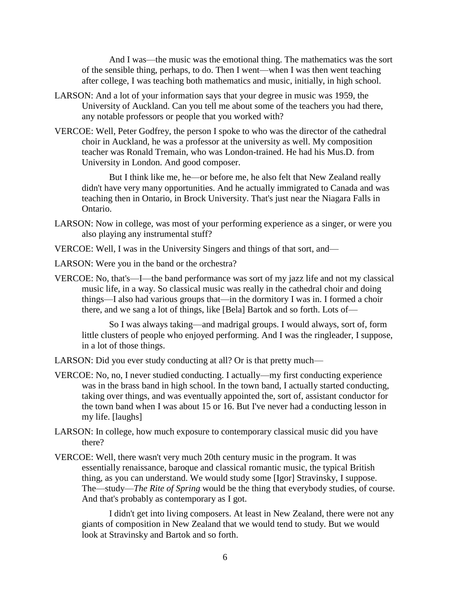And I was—the music was the emotional thing. The mathematics was the sort of the sensible thing, perhaps, to do. Then I went—when I was then went teaching after college, I was teaching both mathematics and music, initially, in high school.

- LARSON: And a lot of your information says that your degree in music was 1959, the University of Auckland. Can you tell me about some of the teachers you had there, any notable professors or people that you worked with?
- VERCOE: Well, Peter Godfrey, the person I spoke to who was the director of the cathedral choir in Auckland, he was a professor at the university as well. My composition teacher was Ronald Tremain, who was London-trained. He had his Mus.D. from University in London. And good composer.

But I think like me, he—or before me, he also felt that New Zealand really didn't have very many opportunities. And he actually immigrated to Canada and was teaching then in Ontario, in Brock University. That's just near the Niagara Falls in Ontario.

- LARSON: Now in college, was most of your performing experience as a singer, or were you also playing any instrumental stuff?
- VERCOE: Well, I was in the University Singers and things of that sort, and—
- LARSON: Were you in the band or the orchestra?
- VERCOE: No, that's—I—the band performance was sort of my jazz life and not my classical music life, in a way. So classical music was really in the cathedral choir and doing things—I also had various groups that—in the dormitory I was in. I formed a choir there, and we sang a lot of things, like [Bela] Bartok and so forth. Lots of—

So I was always taking—and madrigal groups. I would always, sort of, form little clusters of people who enjoyed performing. And I was the ringleader, I suppose, in a lot of those things.

LARSON: Did you ever study conducting at all? Or is that pretty much—

- VERCOE: No, no, I never studied conducting. I actually—my first conducting experience was in the brass band in high school. In the town band, I actually started conducting, taking over things, and was eventually appointed the, sort of, assistant conductor for the town band when I was about 15 or 16. But I've never had a conducting lesson in my life. [laughs]
- LARSON: In college, how much exposure to contemporary classical music did you have there?
- VERCOE: Well, there wasn't very much 20th century music in the program. It was essentially renaissance, baroque and classical romantic music, the typical British thing, as you can understand. We would study some [Igor] Stravinsky, I suppose. The—study—*The Rite of Spring* would be the thing that everybody studies, of course. And that's probably as contemporary as I got.

I didn't get into living composers. At least in New Zealand, there were not any giants of composition in New Zealand that we would tend to study. But we would look at Stravinsky and Bartok and so forth.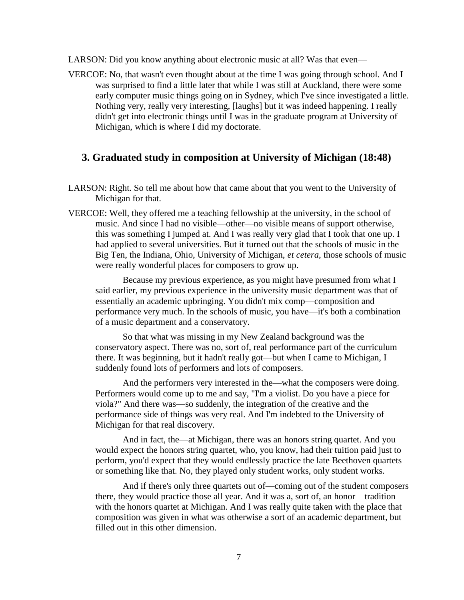LARSON: Did you know anything about electronic music at all? Was that even—

VERCOE: No, that wasn't even thought about at the time I was going through school. And I was surprised to find a little later that while I was still at Auckland, there were some early computer music things going on in Sydney, which I've since investigated a little. Nothing very, really very interesting, [laughs] but it was indeed happening. I really didn't get into electronic things until I was in the graduate program at University of Michigan, which is where I did my doctorate.

### **3. Graduated study in composition at University of Michigan (18:48)**

- LARSON: Right. So tell me about how that came about that you went to the University of Michigan for that.
- VERCOE: Well, they offered me a teaching fellowship at the university, in the school of music. And since I had no visible—other—no visible means of support otherwise, this was something I jumped at. And I was really very glad that I took that one up. I had applied to several universities. But it turned out that the schools of music in the Big Ten, the Indiana, Ohio, University of Michigan, *et cetera*, those schools of music were really wonderful places for composers to grow up.

Because my previous experience, as you might have presumed from what I said earlier, my previous experience in the university music department was that of essentially an academic upbringing. You didn't mix comp—composition and performance very much. In the schools of music, you have—it's both a combination of a music department and a conservatory.

So that what was missing in my New Zealand background was the conservatory aspect. There was no, sort of, real performance part of the curriculum there. It was beginning, but it hadn't really got—but when I came to Michigan, I suddenly found lots of performers and lots of composers.

And the performers very interested in the—what the composers were doing. Performers would come up to me and say, "I'm a violist. Do you have a piece for viola?" And there was—so suddenly, the integration of the creative and the performance side of things was very real. And I'm indebted to the University of Michigan for that real discovery.

And in fact, the—at Michigan, there was an honors string quartet. And you would expect the honors string quartet, who, you know, had their tuition paid just to perform, you'd expect that they would endlessly practice the late Beethoven quartets or something like that. No, they played only student works, only student works.

And if there's only three quartets out of—coming out of the student composers there, they would practice those all year. And it was a, sort of, an honor—tradition with the honors quartet at Michigan. And I was really quite taken with the place that composition was given in what was otherwise a sort of an academic department, but filled out in this other dimension.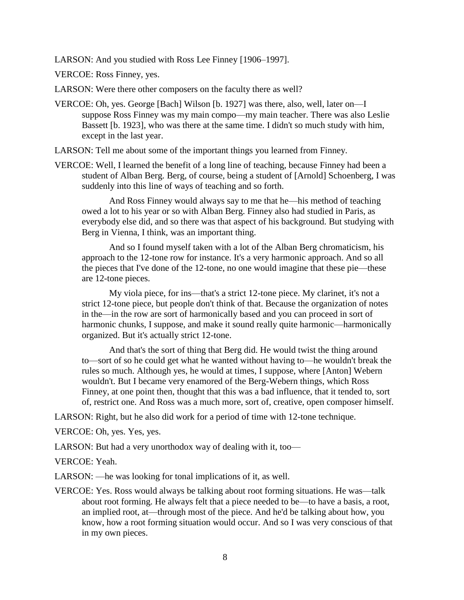LARSON: And you studied with Ross Lee Finney [1906–1997].

VERCOE: Ross Finney, yes.

LARSON: Were there other composers on the faculty there as well?

VERCOE: Oh, yes. George [Bach] Wilson [b. 1927] was there, also, well, later on—I suppose Ross Finney was my main compo—my main teacher. There was also Leslie Bassett [b. 1923], who was there at the same time. I didn't so much study with him, except in the last year.

LARSON: Tell me about some of the important things you learned from Finney.

VERCOE: Well, I learned the benefit of a long line of teaching, because Finney had been a student of Alban Berg. Berg, of course, being a student of [Arnold] Schoenberg, I was suddenly into this line of ways of teaching and so forth.

And Ross Finney would always say to me that he—his method of teaching owed a lot to his year or so with Alban Berg. Finney also had studied in Paris, as everybody else did, and so there was that aspect of his background. But studying with Berg in Vienna, I think, was an important thing.

And so I found myself taken with a lot of the Alban Berg chromaticism, his approach to the 12-tone row for instance. It's a very harmonic approach. And so all the pieces that I've done of the 12-tone, no one would imagine that these pie—these are 12-tone pieces.

My viola piece, for ins—that's a strict 12-tone piece. My clarinet, it's not a strict 12-tone piece, but people don't think of that. Because the organization of notes in the—in the row are sort of harmonically based and you can proceed in sort of harmonic chunks, I suppose, and make it sound really quite harmonic—harmonically organized. But it's actually strict 12-tone.

And that's the sort of thing that Berg did. He would twist the thing around to—sort of so he could get what he wanted without having to—he wouldn't break the rules so much. Although yes, he would at times, I suppose, where [Anton] Webern wouldn't. But I became very enamored of the Berg-Webern things, which Ross Finney, at one point then, thought that this was a bad influence, that it tended to, sort of, restrict one. And Ross was a much more, sort of, creative, open composer himself.

LARSON: Right, but he also did work for a period of time with 12-tone technique.

VERCOE: Oh, yes. Yes, yes.

LARSON: But had a very unorthodox way of dealing with it, too—

VERCOE: Yeah.

LARSON: —he was looking for tonal implications of it, as well.

VERCOE: Yes. Ross would always be talking about root forming situations. He was—talk about root forming. He always felt that a piece needed to be—to have a basis, a root, an implied root, at—through most of the piece. And he'd be talking about how, you know, how a root forming situation would occur. And so I was very conscious of that in my own pieces.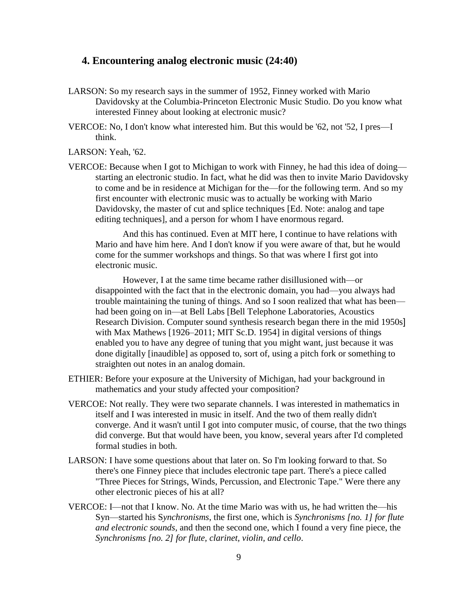#### **4. Encountering analog electronic music (24:40)**

- LARSON: So my research says in the summer of 1952, Finney worked with Mario Davidovsky at the Columbia-Princeton Electronic Music Studio. Do you know what interested Finney about looking at electronic music?
- VERCOE: No, I don't know what interested him. But this would be '62, not '52, I pres—I think.
- LARSON: Yeah, '62.
- VERCOE: Because when I got to Michigan to work with Finney, he had this idea of doing starting an electronic studio. In fact, what he did was then to invite Mario Davidovsky to come and be in residence at Michigan for the—for the following term. And so my first encounter with electronic music was to actually be working with Mario Davidovsky, the master of cut and splice techniques [Ed. Note: analog and tape editing techniques], and a person for whom I have enormous regard.

And this has continued. Even at MIT here, I continue to have relations with Mario and have him here. And I don't know if you were aware of that, but he would come for the summer workshops and things. So that was where I first got into electronic music.

However, I at the same time became rather disillusioned with—or disappointed with the fact that in the electronic domain, you had—you always had trouble maintaining the tuning of things. And so I soon realized that what has been had been going on in—at Bell Labs [Bell Telephone Laboratories, Acoustics Research Division. Computer sound synthesis research began there in the mid 1950s] with Max Mathews [1926–2011; MIT Sc.D. 1954] in digital versions of things enabled you to have any degree of tuning that you might want, just because it was done digitally [inaudible] as opposed to, sort of, using a pitch fork or something to straighten out notes in an analog domain.

- ETHIER: Before your exposure at the University of Michigan, had your background in mathematics and your study affected your composition?
- VERCOE: Not really. They were two separate channels. I was interested in mathematics in itself and I was interested in music in itself. And the two of them really didn't converge. And it wasn't until I got into computer music, of course, that the two things did converge. But that would have been, you know, several years after I'd completed formal studies in both.
- LARSON: I have some questions about that later on. So I'm looking forward to that. So there's one Finney piece that includes electronic tape part. There's a piece called "Three Pieces for Strings, Winds, Percussion, and Electronic Tape." Were there any other electronic pieces of his at all?
- VERCOE: I—not that I know. No. At the time Mario was with us, he had written the—his Syn—started his S*ynchronisms*, the first one, which is *Synchronisms [no. 1] for flute and electronic sounds*, and then the second one, which I found a very fine piece, the *Synchronisms [no. 2] for flute, clarinet, violin, and cello*.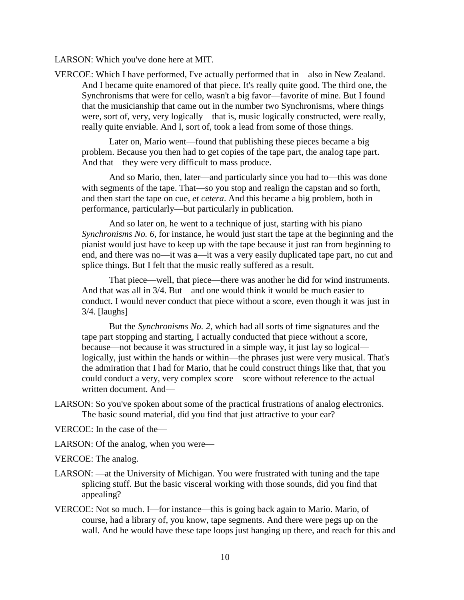LARSON: Which you've done here at MIT.

VERCOE: Which I have performed, I've actually performed that in—also in New Zealand. And I became quite enamored of that piece. It's really quite good. The third one, the Synchronisms that were for cello, wasn't a big favor—favorite of mine. But I found that the musicianship that came out in the number two Synchronisms, where things were, sort of, very, very logically—that is, music logically constructed, were really, really quite enviable. And I, sort of, took a lead from some of those things.

Later on, Mario went—found that publishing these pieces became a big problem. Because you then had to get copies of the tape part, the analog tape part. And that—they were very difficult to mass produce.

And so Mario, then, later—and particularly since you had to—this was done with segments of the tape. That—so you stop and realign the capstan and so forth, and then start the tape on cue, *et cetera*. And this became a big problem, both in performance, particularly—but particularly in publication.

And so later on, he went to a technique of just, starting with his piano *Synchronisms No. 6*, for instance, he would just start the tape at the beginning and the pianist would just have to keep up with the tape because it just ran from beginning to end, and there was no—it was a—it was a very easily duplicated tape part, no cut and splice things. But I felt that the music really suffered as a result.

That piece—well, that piece—there was another he did for wind instruments. And that was all in 3/4. But—and one would think it would be much easier to conduct. I would never conduct that piece without a score, even though it was just in 3/4. [laughs]

But the *Synchronisms No. 2*, which had all sorts of time signatures and the tape part stopping and starting, I actually conducted that piece without a score, because—not because it was structured in a simple way, it just lay so logical logically, just within the hands or within—the phrases just were very musical. That's the admiration that I had for Mario, that he could construct things like that, that you could conduct a very, very complex score—score without reference to the actual written document. And—

- LARSON: So you've spoken about some of the practical frustrations of analog electronics. The basic sound material, did you find that just attractive to your ear?
- VERCOE: In the case of the—
- LARSON: Of the analog, when you were—
- VERCOE: The analog.
- LARSON: —at the University of Michigan. You were frustrated with tuning and the tape splicing stuff. But the basic visceral working with those sounds, did you find that appealing?
- VERCOE: Not so much. I—for instance—this is going back again to Mario. Mario, of course, had a library of, you know, tape segments. And there were pegs up on the wall. And he would have these tape loops just hanging up there, and reach for this and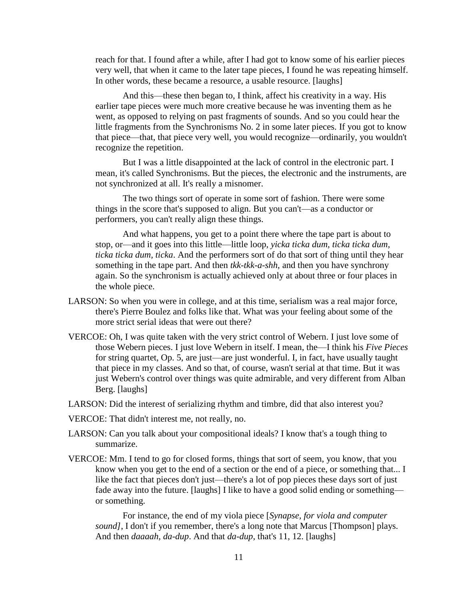reach for that. I found after a while, after I had got to know some of his earlier pieces very well, that when it came to the later tape pieces, I found he was repeating himself. In other words, these became a resource, a usable resource. [laughs]

And this—these then began to, I think, affect his creativity in a way. His earlier tape pieces were much more creative because he was inventing them as he went, as opposed to relying on past fragments of sounds. And so you could hear the little fragments from the Synchronisms No. 2 in some later pieces. If you got to know that piece—that, that piece very well, you would recognize—ordinarily, you wouldn't recognize the repetition.

But I was a little disappointed at the lack of control in the electronic part. I mean, it's called Synchronisms. But the pieces, the electronic and the instruments, are not synchronized at all. It's really a misnomer.

The two things sort of operate in some sort of fashion. There were some things in the score that's supposed to align. But you can't—as a conductor or performers, you can't really align these things.

And what happens, you get to a point there where the tape part is about to stop, or—and it goes into this little—little loop, *yicka ticka dum, ticka ticka dum, ticka ticka dum, ticka*. And the performers sort of do that sort of thing until they hear something in the tape part. And then *tkk-tkk-a-shh*, and then you have synchrony again. So the synchronism is actually achieved only at about three or four places in the whole piece.

- LARSON: So when you were in college, and at this time, serialism was a real major force, there's Pierre Boulez and folks like that. What was your feeling about some of the more strict serial ideas that were out there?
- VERCOE: Oh, I was quite taken with the very strict control of Webern. I just love some of those Webern pieces. I just love Webern in itself. I mean, the—I think his *Five Pieces* for string quartet, Op. 5, are just—are just wonderful. I, in fact, have usually taught that piece in my classes. And so that, of course, wasn't serial at that time. But it was just Webern's control over things was quite admirable, and very different from Alban Berg. [laughs]
- LARSON: Did the interest of serializing rhythm and timbre, did that also interest you?
- VERCOE: That didn't interest me, not really, no.
- LARSON: Can you talk about your compositional ideals? I know that's a tough thing to summarize.
- VERCOE: Mm. I tend to go for closed forms, things that sort of seem, you know, that you know when you get to the end of a section or the end of a piece, or something that... I like the fact that pieces don't just—there's a lot of pop pieces these days sort of just fade away into the future. [laughs] I like to have a good solid ending or something or something.

For instance, the end of my viola piece [*Synapse, for viola and computer sound]*, I don't if you remember, there's a long note that Marcus [Thompson] plays. And then *daaaah, da-dup*. And that *da-dup*, that's 11, 12. [laughs]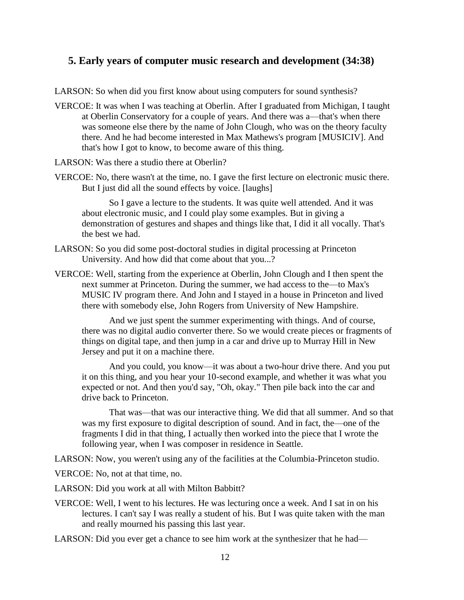## **5. Early years of computer music research and development (34:38)**

LARSON: So when did you first know about using computers for sound synthesis?

- VERCOE: It was when I was teaching at Oberlin. After I graduated from Michigan, I taught at Oberlin Conservatory for a couple of years. And there was a—that's when there was someone else there by the name of John Clough, who was on the theory faculty there. And he had become interested in Max Mathews's program [MUSICIV]. And that's how I got to know, to become aware of this thing.
- LARSON: Was there a studio there at Oberlin?
- VERCOE: No, there wasn't at the time, no. I gave the first lecture on electronic music there. But I just did all the sound effects by voice. [laughs]

So I gave a lecture to the students. It was quite well attended. And it was about electronic music, and I could play some examples. But in giving a demonstration of gestures and shapes and things like that, I did it all vocally. That's the best we had.

- LARSON: So you did some post-doctoral studies in digital processing at Princeton University. And how did that come about that you...?
- VERCOE: Well, starting from the experience at Oberlin, John Clough and I then spent the next summer at Princeton. During the summer, we had access to the—to Max's MUSIC IV program there. And John and I stayed in a house in Princeton and lived there with somebody else, John Rogers from University of New Hampshire.

And we just spent the summer experimenting with things. And of course, there was no digital audio converter there. So we would create pieces or fragments of things on digital tape, and then jump in a car and drive up to Murray Hill in New Jersey and put it on a machine there.

And you could, you know—it was about a two-hour drive there. And you put it on this thing, and you hear your 10-second example, and whether it was what you expected or not. And then you'd say, "Oh, okay." Then pile back into the car and drive back to Princeton.

That was—that was our interactive thing. We did that all summer. And so that was my first exposure to digital description of sound. And in fact, the—one of the fragments I did in that thing, I actually then worked into the piece that I wrote the following year, when I was composer in residence in Seattle.

LARSON: Now, you weren't using any of the facilities at the Columbia-Princeton studio.

VERCOE: No, not at that time, no.

LARSON: Did you work at all with Milton Babbitt?

VERCOE: Well, I went to his lectures. He was lecturing once a week. And I sat in on his lectures. I can't say I was really a student of his. But I was quite taken with the man and really mourned his passing this last year.

LARSON: Did you ever get a chance to see him work at the synthesizer that he had—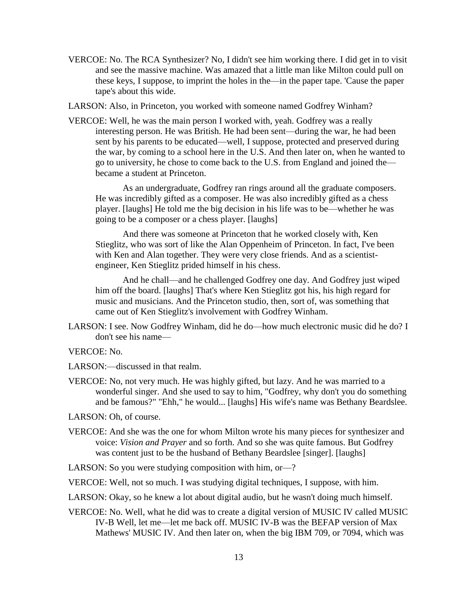VERCOE: No. The RCA Synthesizer? No, I didn't see him working there. I did get in to visit and see the massive machine. Was amazed that a little man like Milton could pull on these keys, I suppose, to imprint the holes in the—in the paper tape. 'Cause the paper tape's about this wide.

LARSON: Also, in Princeton, you worked with someone named Godfrey Winham?

VERCOE: Well, he was the main person I worked with, yeah. Godfrey was a really interesting person. He was British. He had been sent—during the war, he had been sent by his parents to be educated—well, I suppose, protected and preserved during the war, by coming to a school here in the U.S. And then later on, when he wanted to go to university, he chose to come back to the U.S. from England and joined the became a student at Princeton.

As an undergraduate, Godfrey ran rings around all the graduate composers. He was incredibly gifted as a composer. He was also incredibly gifted as a chess player. [laughs] He told me the big decision in his life was to be—whether he was going to be a composer or a chess player. [laughs]

And there was someone at Princeton that he worked closely with, Ken Stieglitz, who was sort of like the Alan Oppenheim of Princeton. In fact, I've been with Ken and Alan together. They were very close friends. And as a scientistengineer, Ken Stieglitz prided himself in his chess.

And he chall—and he challenged Godfrey one day. And Godfrey just wiped him off the board. [laughs] That's where Ken Stieglitz got his, his high regard for music and musicians. And the Princeton studio, then, sort of, was something that came out of Ken Stieglitz's involvement with Godfrey Winham.

LARSON: I see. Now Godfrey Winham, did he do—how much electronic music did he do? I don't see his name—

VERCOE: No.

LARSON:—discussed in that realm.

VERCOE: No, not very much. He was highly gifted, but lazy. And he was married to a wonderful singer. And she used to say to him, "Godfrey, why don't you do something and be famous?" "Ehh," he would... [laughs] His wife's name was Bethany Beardslee.

LARSON: Oh, of course.

VERCOE: And she was the one for whom Milton wrote his many pieces for synthesizer and voice: *Vision and Prayer* and so forth. And so she was quite famous. But Godfrey was content just to be the husband of Bethany Beardslee [singer]. [laughs]

LARSON: So you were studying composition with him, or—?

VERCOE: Well, not so much. I was studying digital techniques, I suppose, with him.

LARSON: Okay, so he knew a lot about digital audio, but he wasn't doing much himself.

VERCOE: No. Well, what he did was to create a digital version of MUSIC IV called MUSIC IV-B Well, let me—let me back off. MUSIC IV-B was the BEFAP version of Max Mathews' MUSIC IV. And then later on, when the big IBM 709, or 7094, which was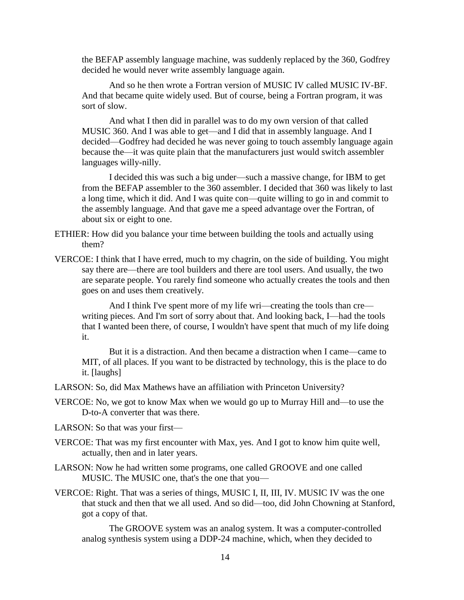the BEFAP assembly language machine, was suddenly replaced by the 360, Godfrey decided he would never write assembly language again.

And so he then wrote a Fortran version of MUSIC IV called MUSIC IV-BF. And that became quite widely used. But of course, being a Fortran program, it was sort of slow.

And what I then did in parallel was to do my own version of that called MUSIC 360. And I was able to get—and I did that in assembly language. And I decided—Godfrey had decided he was never going to touch assembly language again because the—it was quite plain that the manufacturers just would switch assembler languages willy-nilly.

I decided this was such a big under—such a massive change, for IBM to get from the BEFAP assembler to the 360 assembler. I decided that 360 was likely to last a long time, which it did. And I was quite con—quite willing to go in and commit to the assembly language. And that gave me a speed advantage over the Fortran, of about six or eight to one.

- ETHIER: How did you balance your time between building the tools and actually using them?
- VERCOE: I think that I have erred, much to my chagrin, on the side of building. You might say there are—there are tool builders and there are tool users. And usually, the two are separate people. You rarely find someone who actually creates the tools and then goes on and uses them creatively.

And I think I've spent more of my life wri—creating the tools than cre writing pieces. And I'm sort of sorry about that. And looking back, I—had the tools that I wanted been there, of course, I wouldn't have spent that much of my life doing it.

But it is a distraction. And then became a distraction when I came—came to MIT, of all places. If you want to be distracted by technology, this is the place to do it. [laughs]

LARSON: So, did Max Mathews have an affiliation with Princeton University?

- VERCOE: No, we got to know Max when we would go up to Murray Hill and—to use the D-to-A converter that was there.
- LARSON: So that was your first—
- VERCOE: That was my first encounter with Max, yes. And I got to know him quite well, actually, then and in later years.
- LARSON: Now he had written some programs, one called GROOVE and one called MUSIC. The MUSIC one, that's the one that you—
- VERCOE: Right. That was a series of things, MUSIC I, II, III, IV. MUSIC IV was the one that stuck and then that we all used. And so did—too, did John Chowning at Stanford, got a copy of that.

The GROOVE system was an analog system. It was a computer-controlled analog synthesis system using a DDP-24 machine, which, when they decided to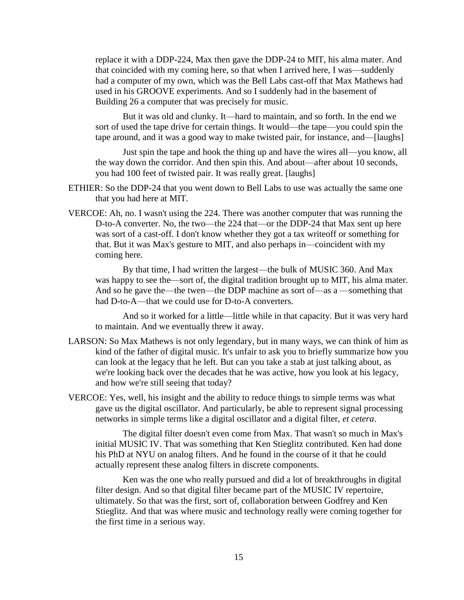replace it with a DDP-224, Max then gave the DDP-24 to MIT, his alma mater. And that coincided with my coming here, so that when I arrived here, I was—suddenly had a computer of my own, which was the Bell Labs cast-off that Max Mathews had used in his GROOVE experiments. And so I suddenly had in the basement of Building 26 a computer that was precisely for music.

But it was old and clunky. It—hard to maintain, and so forth. In the end we sort of used the tape drive for certain things. It would—the tape—you could spin the tape around, and it was a good way to make twisted pair, for instance, and—[laughs]

Just spin the tape and hook the thing up and have the wires all—you know, all the way down the corridor. And then spin this. And about—after about 10 seconds, you had 100 feet of twisted pair. It was really great. [laughs]

- ETHIER: So the DDP-24 that you went down to Bell Labs to use was actually the same one that you had here at MIT.
- VERCOE: Ah, no. I wasn't using the 224. There was another computer that was running the D-to-A converter. No, the two—the 224 that—or the DDP-24 that Max sent up here was sort of a cast-off. I don't know whether they got a tax writeoff or something for that. But it was Max's gesture to MIT, and also perhaps in—coincident with my coming here.

By that time, I had written the largest—the bulk of MUSIC 360. And Max was happy to see the—sort of, the digital tradition brought up to MIT, his alma mater. And so he gave the—the twen—the DDP machine as sort of—as a —something that had D-to-A—that we could use for D-to-A converters.

And so it worked for a little—little while in that capacity. But it was very hard to maintain. And we eventually threw it away.

- LARSON: So Max Mathews is not only legendary, but in many ways, we can think of him as kind of the father of digital music. It's unfair to ask you to briefly summarize how you can look at the legacy that he left. But can you take a stab at just talking about, as we're looking back over the decades that he was active, how you look at his legacy, and how we're still seeing that today?
- VERCOE: Yes, well, his insight and the ability to reduce things to simple terms was what gave us the digital oscillator. And particularly, be able to represent signal processing networks in simple terms like a digital oscillator and a digital filter, *et cetera*.

The digital filter doesn't even come from Max. That wasn't so much in Max's initial MUSIC IV. That was something that Ken Stieglitz contributed. Ken had done his PhD at NYU on analog filters. And he found in the course of it that he could actually represent these analog filters in discrete components.

Ken was the one who really pursued and did a lot of breakthroughs in digital filter design. And so that digital filter became part of the MUSIC IV repertoire, ultimately. So that was the first, sort of, collaboration between Godfrey and Ken Stieglitz. And that was where music and technology really were coming together for the first time in a serious way.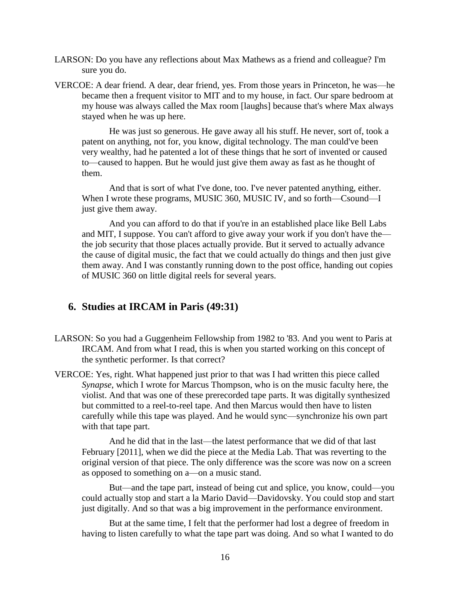- LARSON: Do you have any reflections about Max Mathews as a friend and colleague? I'm sure you do.
- VERCOE: A dear friend. A dear, dear friend, yes. From those years in Princeton, he was—he became then a frequent visitor to MIT and to my house, in fact. Our spare bedroom at my house was always called the Max room [laughs] because that's where Max always stayed when he was up here.

He was just so generous. He gave away all his stuff. He never, sort of, took a patent on anything, not for, you know, digital technology. The man could've been very wealthy, had he patented a lot of these things that he sort of invented or caused to—caused to happen. But he would just give them away as fast as he thought of them.

And that is sort of what I've done, too. I've never patented anything, either. When I wrote these programs, MUSIC 360, MUSIC IV, and so forth—Csound—I just give them away.

And you can afford to do that if you're in an established place like Bell Labs and MIT, I suppose. You can't afford to give away your work if you don't have the the job security that those places actually provide. But it served to actually advance the cause of digital music, the fact that we could actually do things and then just give them away. And I was constantly running down to the post office, handing out copies of MUSIC 360 on little digital reels for several years.

#### **6. Studies at IRCAM in Paris (49:31)**

- LARSON: So you had a Guggenheim Fellowship from 1982 to '83. And you went to Paris at IRCAM. And from what I read, this is when you started working on this concept of the synthetic performer. Is that correct?
- VERCOE: Yes, right. What happened just prior to that was I had written this piece called *Synapse*, which I wrote for Marcus Thompson, who is on the music faculty here, the violist. And that was one of these prerecorded tape parts. It was digitally synthesized but committed to a reel-to-reel tape. And then Marcus would then have to listen carefully while this tape was played. And he would sync—synchronize his own part with that tape part.

And he did that in the last—the latest performance that we did of that last February [2011], when we did the piece at the Media Lab. That was reverting to the original version of that piece. The only difference was the score was now on a screen as opposed to something on a—on a music stand.

But—and the tape part, instead of being cut and splice, you know, could—you could actually stop and start a la Mario David—Davidovsky. You could stop and start just digitally. And so that was a big improvement in the performance environment.

But at the same time, I felt that the performer had lost a degree of freedom in having to listen carefully to what the tape part was doing. And so what I wanted to do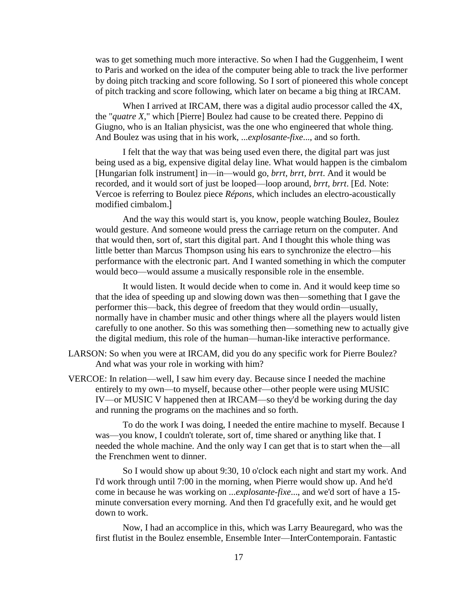was to get something much more interactive. So when I had the Guggenheim, I went to Paris and worked on the idea of the computer being able to track the live performer by doing pitch tracking and score following. So I sort of pioneered this whole concept of pitch tracking and score following, which later on became a big thing at IRCAM.

When I arrived at IRCAM, there was a digital audio processor called the 4X, the "*quatre X*," which [Pierre] Boulez had cause to be created there. Peppino di Giugno, who is an Italian physicist, was the one who engineered that whole thing. And Boulez was using that in his work, ...*explosante-fixe*..., and so forth.

I felt that the way that was being used even there, the digital part was just being used as a big, expensive digital delay line. What would happen is the cimbalom [Hungarian folk instrument] in—in—would go, *brrt, brrt, brrt*. And it would be recorded, and it would sort of just be looped—loop around, *brrt, brrt*. [Ed. Note: Vercoe is referring to Boulez piece *Répons*, which includes an electro-acoustically modified cimbalom.]

And the way this would start is, you know, people watching Boulez, Boulez would gesture. And someone would press the carriage return on the computer. And that would then, sort of, start this digital part. And I thought this whole thing was little better than Marcus Thompson using his ears to synchronize the electro—his performance with the electronic part. And I wanted something in which the computer would beco—would assume a musically responsible role in the ensemble.

It would listen. It would decide when to come in. And it would keep time so that the idea of speeding up and slowing down was then—something that I gave the performer this—back, this degree of freedom that they would ordin—usually, normally have in chamber music and other things where all the players would listen carefully to one another. So this was something then—something new to actually give the digital medium, this role of the human—human-like interactive performance.

- LARSON: So when you were at IRCAM, did you do any specific work for Pierre Boulez? And what was your role in working with him?
- VERCOE: In relation—well, I saw him every day. Because since I needed the machine entirely to my own—to myself, because other—other people were using MUSIC IV—or MUSIC V happened then at IRCAM—so they'd be working during the day and running the programs on the machines and so forth.

To do the work I was doing, I needed the entire machine to myself. Because I was—you know, I couldn't tolerate, sort of, time shared or anything like that. I needed the whole machine. And the only way I can get that is to start when the—all the Frenchmen went to dinner.

So I would show up about 9:30, 10 o'clock each night and start my work. And I'd work through until 7:00 in the morning, when Pierre would show up. And he'd come in because he was working on ...*explosante-fixe*..., and we'd sort of have a 15 minute conversation every morning. And then I'd gracefully exit, and he would get down to work.

Now, I had an accomplice in this, which was Larry Beauregard, who was the first flutist in the Boulez ensemble, Ensemble Inter—InterContemporain. Fantastic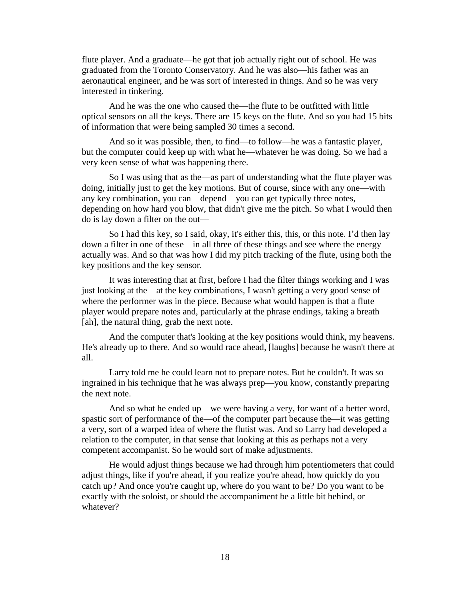flute player. And a graduate—he got that job actually right out of school. He was graduated from the Toronto Conservatory. And he was also—his father was an aeronautical engineer, and he was sort of interested in things. And so he was very interested in tinkering.

And he was the one who caused the—the flute to be outfitted with little optical sensors on all the keys. There are 15 keys on the flute. And so you had 15 bits of information that were being sampled 30 times a second.

And so it was possible, then, to find—to follow—he was a fantastic player, but the computer could keep up with what he—whatever he was doing. So we had a very keen sense of what was happening there.

So I was using that as the—as part of understanding what the flute player was doing, initially just to get the key motions. But of course, since with any one—with any key combination, you can—depend—you can get typically three notes, depending on how hard you blow, that didn't give me the pitch. So what I would then do is lay down a filter on the out—

So I had this key, so I said, okay, it's either this, this, or this note. I'd then lay down a filter in one of these—in all three of these things and see where the energy actually was. And so that was how I did my pitch tracking of the flute, using both the key positions and the key sensor.

It was interesting that at first, before I had the filter things working and I was just looking at the—at the key combinations, I wasn't getting a very good sense of where the performer was in the piece. Because what would happen is that a flute player would prepare notes and, particularly at the phrase endings, taking a breath [ah], the natural thing, grab the next note.

And the computer that's looking at the key positions would think, my heavens. He's already up to there. And so would race ahead, [laughs] because he wasn't there at all.

Larry told me he could learn not to prepare notes. But he couldn't. It was so ingrained in his technique that he was always prep—you know, constantly preparing the next note.

And so what he ended up—we were having a very, for want of a better word, spastic sort of performance of the—of the computer part because the—it was getting a very, sort of a warped idea of where the flutist was. And so Larry had developed a relation to the computer, in that sense that looking at this as perhaps not a very competent accompanist. So he would sort of make adjustments.

He would adjust things because we had through him potentiometers that could adjust things, like if you're ahead, if you realize you're ahead, how quickly do you catch up? And once you're caught up, where do you want to be? Do you want to be exactly with the soloist, or should the accompaniment be a little bit behind, or whatever?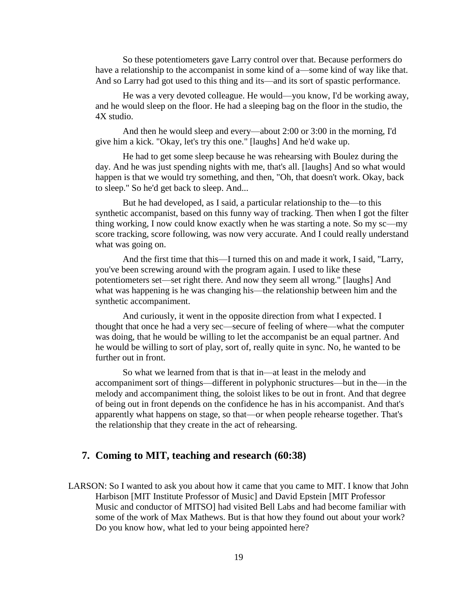So these potentiometers gave Larry control over that. Because performers do have a relationship to the accompanist in some kind of a—some kind of way like that. And so Larry had got used to this thing and its—and its sort of spastic performance.

He was a very devoted colleague. He would—you know, I'd be working away, and he would sleep on the floor. He had a sleeping bag on the floor in the studio, the 4X studio.

And then he would sleep and every—about 2:00 or 3:00 in the morning, I'd give him a kick. "Okay, let's try this one." [laughs] And he'd wake up.

He had to get some sleep because he was rehearsing with Boulez during the day. And he was just spending nights with me, that's all. [laughs] And so what would happen is that we would try something, and then, "Oh, that doesn't work. Okay, back to sleep." So he'd get back to sleep. And...

But he had developed, as I said, a particular relationship to the—to this synthetic accompanist, based on this funny way of tracking. Then when I got the filter thing working, I now could know exactly when he was starting a note. So my sc—my score tracking, score following, was now very accurate. And I could really understand what was going on.

And the first time that this—I turned this on and made it work, I said, "Larry, you've been screwing around with the program again. I used to like these potentiometers set—set right there. And now they seem all wrong." [laughs] And what was happening is he was changing his—the relationship between him and the synthetic accompaniment.

And curiously, it went in the opposite direction from what I expected. I thought that once he had a very sec—secure of feeling of where—what the computer was doing, that he would be willing to let the accompanist be an equal partner. And he would be willing to sort of play, sort of, really quite in sync. No, he wanted to be further out in front.

So what we learned from that is that in—at least in the melody and accompaniment sort of things—different in polyphonic structures—but in the—in the melody and accompaniment thing, the soloist likes to be out in front. And that degree of being out in front depends on the confidence he has in his accompanist. And that's apparently what happens on stage, so that—or when people rehearse together. That's the relationship that they create in the act of rehearsing.

## **7. Coming to MIT, teaching and research (60:38)**

LARSON: So I wanted to ask you about how it came that you came to MIT. I know that John Harbison [MIT Institute Professor of Music] and David Epstein [MIT Professor Music and conductor of MITSO] had visited Bell Labs and had become familiar with some of the work of Max Mathews. But is that how they found out about your work? Do you know how, what led to your being appointed here?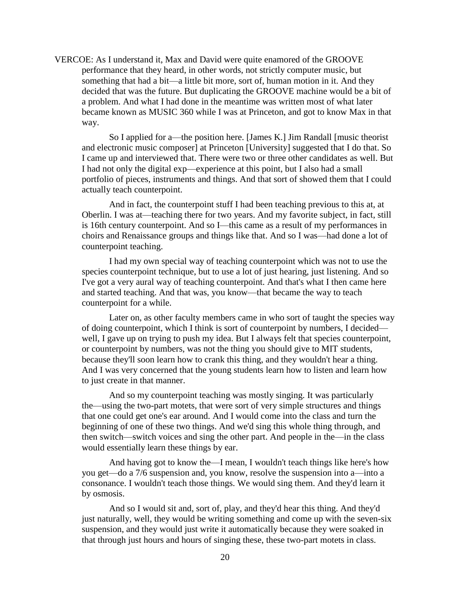VERCOE: As I understand it, Max and David were quite enamored of the GROOVE performance that they heard, in other words, not strictly computer music, but something that had a bit—a little bit more, sort of, human motion in it. And they decided that was the future. But duplicating the GROOVE machine would be a bit of a problem. And what I had done in the meantime was written most of what later became known as MUSIC 360 while I was at Princeton, and got to know Max in that way.

So I applied for a—the position here. [James K.] Jim Randall [music theorist and electronic music composer] at Princeton [University] suggested that I do that. So I came up and interviewed that. There were two or three other candidates as well. But I had not only the digital exp—experience at this point, but I also had a small portfolio of pieces, instruments and things. And that sort of showed them that I could actually teach counterpoint.

And in fact, the counterpoint stuff I had been teaching previous to this at, at Oberlin. I was at—teaching there for two years. And my favorite subject, in fact, still is 16th century counterpoint. And so I—this came as a result of my performances in choirs and Renaissance groups and things like that. And so I was—had done a lot of counterpoint teaching.

I had my own special way of teaching counterpoint which was not to use the species counterpoint technique, but to use a lot of just hearing, just listening. And so I've got a very aural way of teaching counterpoint. And that's what I then came here and started teaching. And that was, you know—that became the way to teach counterpoint for a while.

Later on, as other faculty members came in who sort of taught the species way of doing counterpoint, which I think is sort of counterpoint by numbers, I decided well, I gave up on trying to push my idea. But I always felt that species counterpoint, or counterpoint by numbers, was not the thing you should give to MIT students, because they'll soon learn how to crank this thing, and they wouldn't hear a thing. And I was very concerned that the young students learn how to listen and learn how to just create in that manner.

And so my counterpoint teaching was mostly singing. It was particularly the—using the two-part motets, that were sort of very simple structures and things that one could get one's ear around. And I would come into the class and turn the beginning of one of these two things. And we'd sing this whole thing through, and then switch—switch voices and sing the other part. And people in the—in the class would essentially learn these things by ear.

And having got to know the—I mean, I wouldn't teach things like here's how you get—do a 7/6 suspension and, you know, resolve the suspension into a—into a consonance. I wouldn't teach those things. We would sing them. And they'd learn it by osmosis.

And so I would sit and, sort of, play, and they'd hear this thing. And they'd just naturally, well, they would be writing something and come up with the seven-six suspension, and they would just write it automatically because they were soaked in that through just hours and hours of singing these, these two-part motets in class.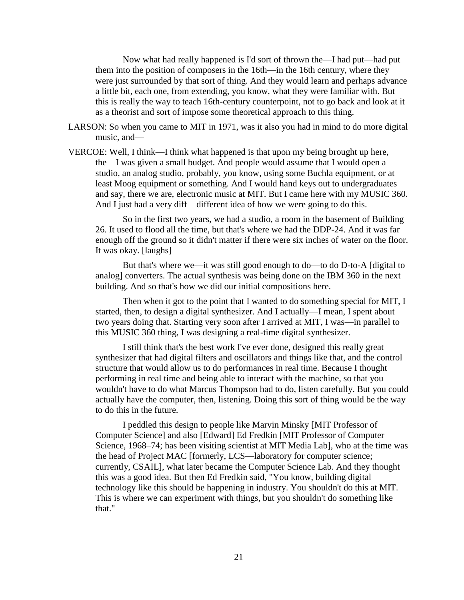Now what had really happened is I'd sort of thrown the—I had put—had put them into the position of composers in the 16th—in the 16th century, where they were just surrounded by that sort of thing. And they would learn and perhaps advance a little bit, each one, from extending, you know, what they were familiar with. But this is really the way to teach 16th-century counterpoint, not to go back and look at it as a theorist and sort of impose some theoretical approach to this thing.

- LARSON: So when you came to MIT in 1971, was it also you had in mind to do more digital music, and—
- VERCOE: Well, I think—I think what happened is that upon my being brought up here, the—I was given a small budget. And people would assume that I would open a studio, an analog studio, probably, you know, using some Buchla equipment, or at least Moog equipment or something. And I would hand keys out to undergraduates and say, there we are, electronic music at MIT. But I came here with my MUSIC 360. And I just had a very diff—different idea of how we were going to do this.

So in the first two years, we had a studio, a room in the basement of Building 26. It used to flood all the time, but that's where we had the DDP-24. And it was far enough off the ground so it didn't matter if there were six inches of water on the floor. It was okay. [laughs]

But that's where we—it was still good enough to do—to do D-to-A [digital to analog] converters. The actual synthesis was being done on the IBM 360 in the next building. And so that's how we did our initial compositions here.

Then when it got to the point that I wanted to do something special for MIT, I started, then, to design a digital synthesizer. And I actually—I mean, I spent about two years doing that. Starting very soon after I arrived at MIT, I was—in parallel to this MUSIC 360 thing, I was designing a real-time digital synthesizer.

I still think that's the best work I've ever done, designed this really great synthesizer that had digital filters and oscillators and things like that, and the control structure that would allow us to do performances in real time. Because I thought performing in real time and being able to interact with the machine, so that you wouldn't have to do what Marcus Thompson had to do, listen carefully. But you could actually have the computer, then, listening. Doing this sort of thing would be the way to do this in the future.

I peddled this design to people like Marvin Minsky [MIT Professor of Computer Science] and also [Edward] Ed Fredkin [MIT Professor of Computer Science, 1968–74; has been visiting scientist at MIT Media Lab], who at the time was the head of Project MAC [formerly, LCS—laboratory for computer science; currently, CSAIL], what later became the Computer Science Lab. And they thought this was a good idea. But then Ed Fredkin said, "You know, building digital technology like this should be happening in industry. You shouldn't do this at MIT. This is where we can experiment with things, but you shouldn't do something like that."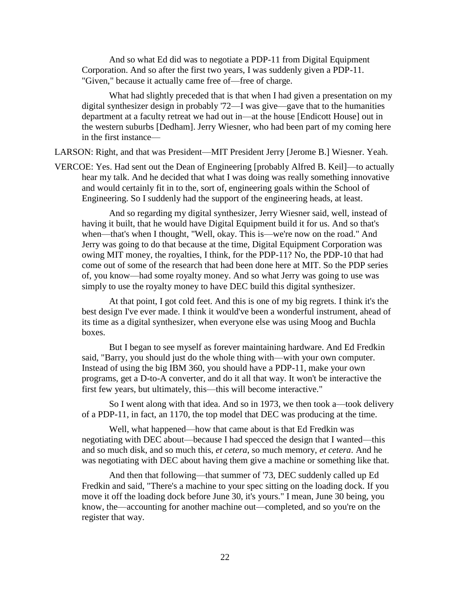And so what Ed did was to negotiate a PDP-11 from Digital Equipment Corporation. And so after the first two years, I was suddenly given a PDP-11. "Given," because it actually came free of—free of charge.

What had slightly preceded that is that when I had given a presentation on my digital synthesizer design in probably '72—I was give—gave that to the humanities department at a faculty retreat we had out in—at the house [Endicott House] out in the western suburbs [Dedham]. Jerry Wiesner, who had been part of my coming here in the first instance—

LARSON: Right, and that was President—MIT President Jerry [Jerome B.] Wiesner. Yeah.

VERCOE: Yes. Had sent out the Dean of Engineering [probably Alfred B. Keil]—to actually hear my talk. And he decided that what I was doing was really something innovative and would certainly fit in to the, sort of, engineering goals within the School of Engineering. So I suddenly had the support of the engineering heads, at least.

And so regarding my digital synthesizer, Jerry Wiesner said, well, instead of having it built, that he would have Digital Equipment build it for us. And so that's when—that's when I thought, "Well, okay. This is—we're now on the road." And Jerry was going to do that because at the time, Digital Equipment Corporation was owing MIT money, the royalties, I think, for the PDP-11? No, the PDP-10 that had come out of some of the research that had been done here at MIT. So the PDP series of, you know—had some royalty money. And so what Jerry was going to use was simply to use the royalty money to have DEC build this digital synthesizer.

At that point, I got cold feet. And this is one of my big regrets. I think it's the best design I've ever made. I think it would've been a wonderful instrument, ahead of its time as a digital synthesizer, when everyone else was using Moog and Buchla boxes.

But I began to see myself as forever maintaining hardware. And Ed Fredkin said, "Barry, you should just do the whole thing with—with your own computer. Instead of using the big IBM 360, you should have a PDP-11, make your own programs, get a D-to-A converter, and do it all that way. It won't be interactive the first few years, but ultimately, this—this will become interactive."

So I went along with that idea. And so in 1973, we then took a—took delivery of a PDP-11, in fact, an 1170, the top model that DEC was producing at the time.

Well, what happened—how that came about is that Ed Fredkin was negotiating with DEC about—because I had specced the design that I wanted—this and so much disk, and so much this, *et cetera*, so much memory, *et cetera*. And he was negotiating with DEC about having them give a machine or something like that.

And then that following—that summer of '73, DEC suddenly called up Ed Fredkin and said, "There's a machine to your spec sitting on the loading dock. If you move it off the loading dock before June 30, it's yours." I mean, June 30 being, you know, the—accounting for another machine out—completed, and so you're on the register that way.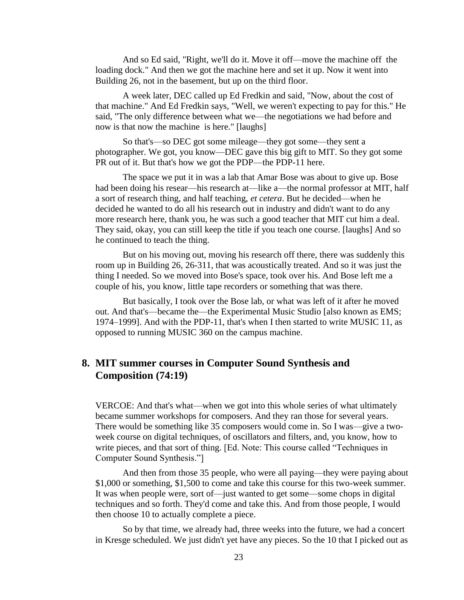And so Ed said, "Right, we'll do it. Move it off—move the machine off the loading dock." And then we got the machine here and set it up. Now it went into Building 26, not in the basement, but up on the third floor.

A week later, DEC called up Ed Fredkin and said, "Now, about the cost of that machine." And Ed Fredkin says, "Well, we weren't expecting to pay for this." He said, "The only difference between what we—the negotiations we had before and now is that now the machine is here." [laughs]

So that's—so DEC got some mileage—they got some—they sent a photographer. We got, you know—DEC gave this big gift to MIT. So they got some PR out of it. But that's how we got the PDP—the PDP-11 here.

The space we put it in was a lab that Amar Bose was about to give up. Bose had been doing his resear—his research at—like a—the normal professor at MIT, half a sort of research thing, and half teaching, *et cetera*. But he decided—when he decided he wanted to do all his research out in industry and didn't want to do any more research here, thank you, he was such a good teacher that MIT cut him a deal. They said, okay, you can still keep the title if you teach one course. [laughs] And so he continued to teach the thing.

But on his moving out, moving his research off there, there was suddenly this room up in Building 26, 26-311, that was acoustically treated. And so it was just the thing I needed. So we moved into Bose's space, took over his. And Bose left me a couple of his, you know, little tape recorders or something that was there.

But basically, I took over the Bose lab, or what was left of it after he moved out. And that's—became the—the Experimental Music Studio [also known as EMS; 1974–1999]. And with the PDP-11, that's when I then started to write MUSIC 11, as opposed to running MUSIC 360 on the campus machine.

## **8. MIT summer courses in Computer Sound Synthesis and Composition (74:19)**

VERCOE: And that's what—when we got into this whole series of what ultimately became summer workshops for composers. And they ran those for several years. There would be something like 35 composers would come in. So I was—give a twoweek course on digital techniques, of oscillators and filters, and, you know, how to write pieces, and that sort of thing. [Ed. Note: This course called "Techniques in Computer Sound Synthesis."]

And then from those 35 people, who were all paying—they were paying about \$1,000 or something, \$1,500 to come and take this course for this two-week summer. It was when people were, sort of—just wanted to get some—some chops in digital techniques and so forth. They'd come and take this. And from those people, I would then choose 10 to actually complete a piece.

So by that time, we already had, three weeks into the future, we had a concert in Kresge scheduled. We just didn't yet have any pieces. So the 10 that I picked out as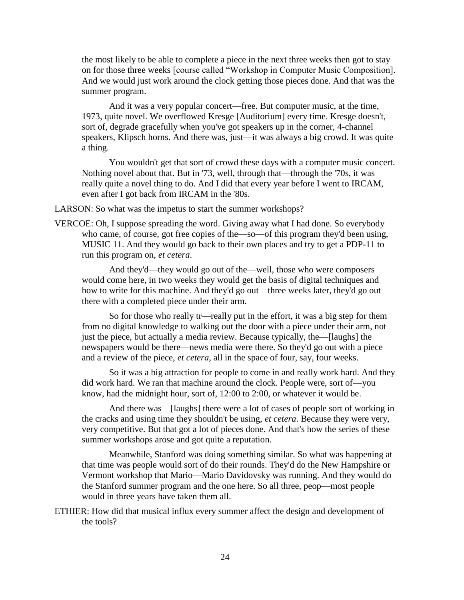the most likely to be able to complete a piece in the next three weeks then got to stay on for those three weeks [course called "Workshop in Computer Music Composition]. And we would just work around the clock getting those pieces done. And that was the summer program.

And it was a very popular concert—free. But computer music, at the time, 1973, quite novel. We overflowed Kresge [Auditorium] every time. Kresge doesn't, sort of, degrade gracefully when you've got speakers up in the corner, 4-channel speakers, Klipsch horns. And there was, just—it was always a big crowd. It was quite a thing.

You wouldn't get that sort of crowd these days with a computer music concert. Nothing novel about that. But in '73, well, through that—through the '70s, it was really quite a novel thing to do. And I did that every year before I went to IRCAM, even after I got back from IRCAM in the '80s.

LARSON: So what was the impetus to start the summer workshops?

VERCOE: Oh, I suppose spreading the word. Giving away what I had done. So everybody who came, of course, got free copies of the—so—of this program they'd been using, MUSIC 11. And they would go back to their own places and try to get a PDP-11 to run this program on, *et cetera*.

And they'd—they would go out of the—well, those who were composers would come here, in two weeks they would get the basis of digital techniques and how to write for this machine. And they'd go out—three weeks later, they'd go out there with a completed piece under their arm.

So for those who really tr—really put in the effort, it was a big step for them from no digital knowledge to walking out the door with a piece under their arm, not just the piece, but actually a media review. Because typically, the—[laughs] the newspapers would be there—news media were there. So they'd go out with a piece and a review of the piece, *et cetera*, all in the space of four, say, four weeks.

So it was a big attraction for people to come in and really work hard. And they did work hard. We ran that machine around the clock. People were, sort of—you know, had the midnight hour, sort of, 12:00 to 2:00, or whatever it would be.

And there was—[laughs] there were a lot of cases of people sort of working in the cracks and using time they shouldn't be using, *et cetera*. Because they were very, very competitive. But that got a lot of pieces done. And that's how the series of these summer workshops arose and got quite a reputation.

Meanwhile, Stanford was doing something similar. So what was happening at that time was people would sort of do their rounds. They'd do the New Hampshire or Vermont workshop that Mario—Mario Davidovsky was running. And they would do the Stanford summer program and the one here. So all three, peop—most people would in three years have taken them all.

ETHIER: How did that musical influx every summer affect the design and development of the tools?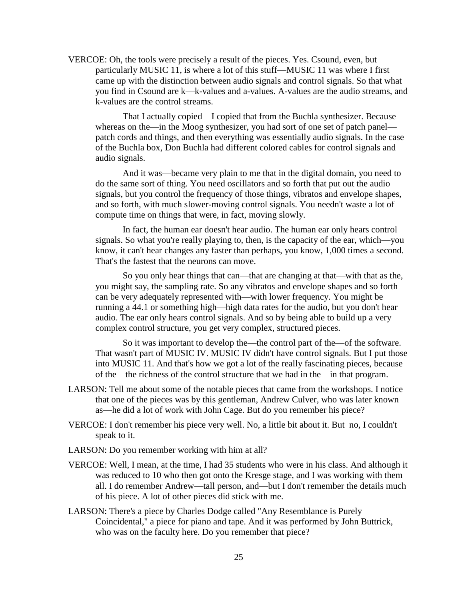VERCOE: Oh, the tools were precisely a result of the pieces. Yes. Csound, even, but particularly MUSIC 11, is where a lot of this stuff—MUSIC 11 was where I first came up with the distinction between audio signals and control signals. So that what you find in Csound are k—k-values and a-values. A-values are the audio streams, and k-values are the control streams.

That I actually copied—I copied that from the Buchla synthesizer. Because whereas on the—in the Moog synthesizer, you had sort of one set of patch panel patch cords and things, and then everything was essentially audio signals. In the case of the Buchla box, Don Buchla had different colored cables for control signals and audio signals.

And it was—became very plain to me that in the digital domain, you need to do the same sort of thing. You need oscillators and so forth that put out the audio signals, but you control the frequency of those things, vibratos and envelope shapes, and so forth, with much slower-moving control signals. You needn't waste a lot of compute time on things that were, in fact, moving slowly.

In fact, the human ear doesn't hear audio. The human ear only hears control signals. So what you're really playing to, then, is the capacity of the ear, which—you know, it can't hear changes any faster than perhaps, you know, 1,000 times a second. That's the fastest that the neurons can move.

So you only hear things that can—that are changing at that—with that as the, you might say, the sampling rate. So any vibratos and envelope shapes and so forth can be very adequately represented with—with lower frequency. You might be running a 44.1 or something high—high data rates for the audio, but you don't hear audio. The ear only hears control signals. And so by being able to build up a very complex control structure, you get very complex, structured pieces.

So it was important to develop the—the control part of the—of the software. That wasn't part of MUSIC IV. MUSIC IV didn't have control signals. But I put those into MUSIC 11. And that's how we got a lot of the really fascinating pieces, because of the—the richness of the control structure that we had in the—in that program.

- LARSON: Tell me about some of the notable pieces that came from the workshops. I notice that one of the pieces was by this gentleman, Andrew Culver, who was later known as—he did a lot of work with John Cage. But do you remember his piece?
- VERCOE: I don't remember his piece very well. No, a little bit about it. But no, I couldn't speak to it.
- LARSON: Do you remember working with him at all?
- VERCOE: Well, I mean, at the time, I had 35 students who were in his class. And although it was reduced to 10 who then got onto the Kresge stage, and I was working with them all. I do remember Andrew—tall person, and—but I don't remember the details much of his piece. A lot of other pieces did stick with me.
- LARSON: There's a piece by Charles Dodge called "Any Resemblance is Purely Coincidental," a piece for piano and tape. And it was performed by John Buttrick, who was on the faculty here. Do you remember that piece?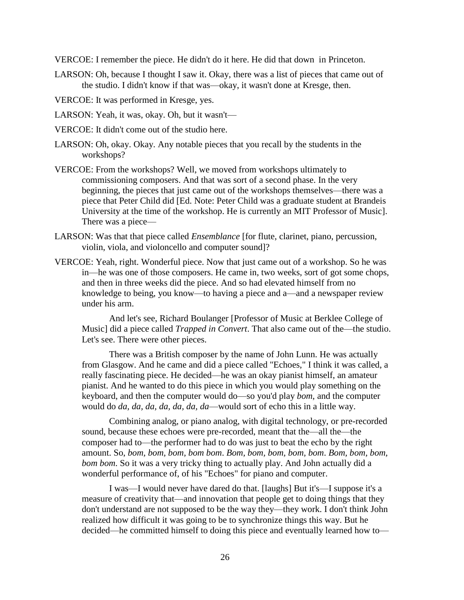VERCOE: I remember the piece. He didn't do it here. He did that down in Princeton.

LARSON: Oh, because I thought I saw it. Okay, there was a list of pieces that came out of the studio. I didn't know if that was—okay, it wasn't done at Kresge, then.

VERCOE: It was performed in Kresge, yes.

LARSON: Yeah, it was, okay. Oh, but it wasn't—

- VERCOE: It didn't come out of the studio here.
- LARSON: Oh, okay. Okay. Any notable pieces that you recall by the students in the workshops?
- VERCOE: From the workshops? Well, we moved from workshops ultimately to commissioning composers. And that was sort of a second phase. In the very beginning, the pieces that just came out of the workshops themselves—there was a piece that Peter Child did [Ed. Note: Peter Child was a graduate student at Brandeis University at the time of the workshop. He is currently an MIT Professor of Music]. There was a piece—
- LARSON: Was that that piece called *Ensemblance* [for flute, clarinet, piano, percussion, violin, viola, and violoncello and computer sound]?
- VERCOE: Yeah, right. Wonderful piece. Now that just came out of a workshop. So he was in—he was one of those composers. He came in, two weeks, sort of got some chops, and then in three weeks did the piece. And so had elevated himself from no knowledge to being, you know—to having a piece and a—and a newspaper review under his arm.

And let's see, Richard Boulanger [Professor of Music at Berklee College of Music] did a piece called *Trapped in Convert*. That also came out of the—the studio. Let's see. There were other pieces.

There was a British composer by the name of John Lunn. He was actually from Glasgow. And he came and did a piece called "Echoes," I think it was called, a really fascinating piece. He decided—he was an okay pianist himself, an amateur pianist. And he wanted to do this piece in which you would play something on the keyboard, and then the computer would do—so you'd play *bom*, and the computer would do *da, da, da, da, da, da, da*—would sort of echo this in a little way.

Combining analog, or piano analog, with digital technology, or pre-recorded sound, because these echoes were pre-recorded, meant that the—all the—the composer had to—the performer had to do was just to beat the echo by the right amount. So, *bom, bom, bom, bom bom*. *Bom, bom, bom, bom, bom*. *Bom, bom, bom, bom bom*. So it was a very tricky thing to actually play. And John actually did a wonderful performance of, of his "Echoes" for piano and computer.

I was—I would never have dared do that. [laughs] But it's—I suppose it's a measure of creativity that—and innovation that people get to doing things that they don't understand are not supposed to be the way they—they work. I don't think John realized how difficult it was going to be to synchronize things this way. But he decided—he committed himself to doing this piece and eventually learned how to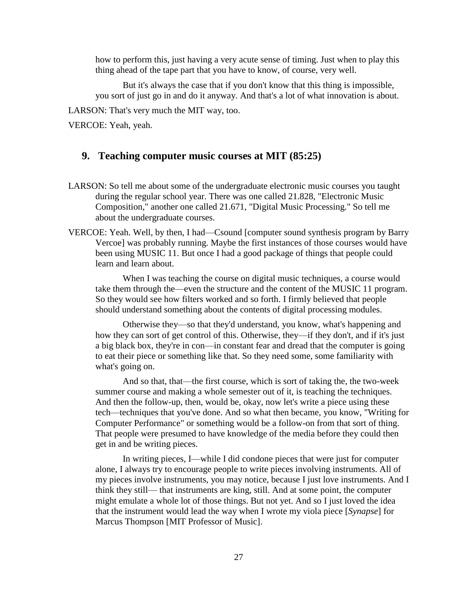how to perform this, just having a very acute sense of timing. Just when to play this thing ahead of the tape part that you have to know, of course, very well.

But it's always the case that if you don't know that this thing is impossible, you sort of just go in and do it anyway. And that's a lot of what innovation is about.

LARSON: That's very much the MIT way, too.

VERCOE: Yeah, yeah.

## **9. Teaching computer music courses at MIT (85:25)**

- LARSON: So tell me about some of the undergraduate electronic music courses you taught during the regular school year. There was one called 21.828, "Electronic Music Composition," another one called 21.671, "Digital Music Processing." So tell me about the undergraduate courses.
- VERCOE: Yeah. Well, by then, I had—Csound [computer sound synthesis program by Barry Vercoe] was probably running. Maybe the first instances of those courses would have been using MUSIC 11. But once I had a good package of things that people could learn and learn about.

When I was teaching the course on digital music techniques, a course would take them through the—even the structure and the content of the MUSIC 11 program. So they would see how filters worked and so forth. I firmly believed that people should understand something about the contents of digital processing modules.

Otherwise they—so that they'd understand, you know, what's happening and how they can sort of get control of this. Otherwise, they—if they don't, and if it's just a big black box, they're in con—in constant fear and dread that the computer is going to eat their piece or something like that. So they need some, some familiarity with what's going on.

And so that, that—the first course, which is sort of taking the, the two-week summer course and making a whole semester out of it, is teaching the techniques. And then the follow-up, then, would be, okay, now let's write a piece using these tech—techniques that you've done. And so what then became, you know, "Writing for Computer Performance" or something would be a follow-on from that sort of thing. That people were presumed to have knowledge of the media before they could then get in and be writing pieces.

In writing pieces, I—while I did condone pieces that were just for computer alone, I always try to encourage people to write pieces involving instruments. All of my pieces involve instruments, you may notice, because I just love instruments. And I think they still— that instruments are king, still. And at some point, the computer might emulate a whole lot of those things. But not yet. And so I just loved the idea that the instrument would lead the way when I wrote my viola piece [*Synapse*] for Marcus Thompson [MIT Professor of Music].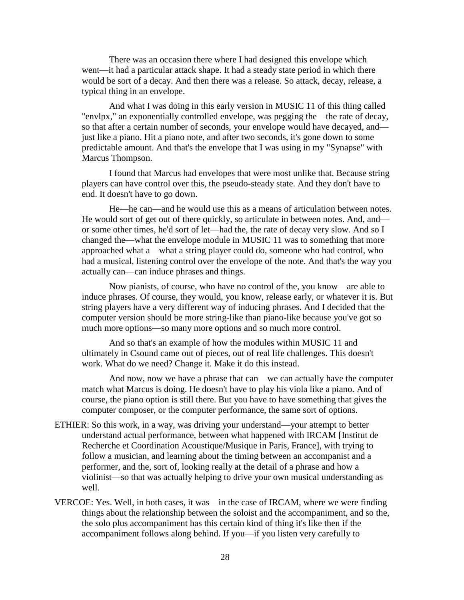There was an occasion there where I had designed this envelope which went—it had a particular attack shape. It had a steady state period in which there would be sort of a decay. And then there was a release. So attack, decay, release, a typical thing in an envelope.

And what I was doing in this early version in MUSIC 11 of this thing called "envlpx," an exponentially controlled envelope, was pegging the—the rate of decay, so that after a certain number of seconds, your envelope would have decayed, and just like a piano. Hit a piano note, and after two seconds, it's gone down to some predictable amount. And that's the envelope that I was using in my "Synapse" with Marcus Thompson.

I found that Marcus had envelopes that were most unlike that. Because string players can have control over this, the pseudo-steady state. And they don't have to end. It doesn't have to go down.

He—he can—and he would use this as a means of articulation between notes. He would sort of get out of there quickly, so articulate in between notes. And, and or some other times, he'd sort of let—had the, the rate of decay very slow. And so I changed the—what the envelope module in MUSIC 11 was to something that more approached what a—what a string player could do, someone who had control, who had a musical, listening control over the envelope of the note. And that's the way you actually can—can induce phrases and things.

Now pianists, of course, who have no control of the, you know—are able to induce phrases. Of course, they would, you know, release early, or whatever it is. But string players have a very different way of inducing phrases. And I decided that the computer version should be more string-like than piano-like because you've got so much more options—so many more options and so much more control.

And so that's an example of how the modules within MUSIC 11 and ultimately in Csound came out of pieces, out of real life challenges. This doesn't work. What do we need? Change it. Make it do this instead.

And now, now we have a phrase that can—we can actually have the computer match what Marcus is doing. He doesn't have to play his viola like a piano. And of course, the piano option is still there. But you have to have something that gives the computer composer, or the computer performance, the same sort of options.

- ETHIER: So this work, in a way, was driving your understand—your attempt to better understand actual performance, between what happened with IRCAM [Institut de Recherche et Coordination Acoustique/Musique in Paris, France], with trying to follow a musician, and learning about the timing between an accompanist and a performer, and the, sort of, looking really at the detail of a phrase and how a violinist—so that was actually helping to drive your own musical understanding as well.
- VERCOE: Yes. Well, in both cases, it was—in the case of IRCAM, where we were finding things about the relationship between the soloist and the accompaniment, and so the, the solo plus accompaniment has this certain kind of thing it's like then if the accompaniment follows along behind. If you—if you listen very carefully to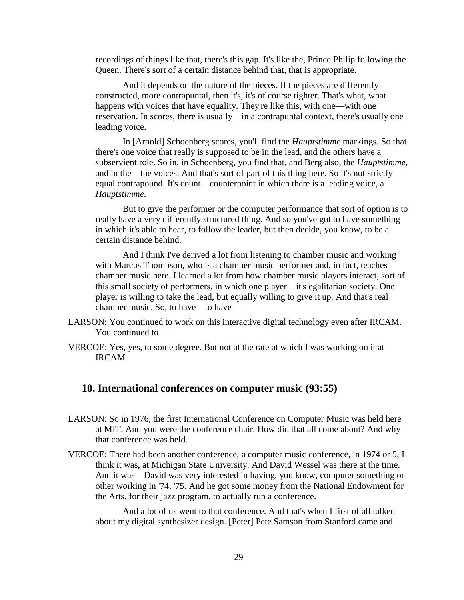recordings of things like that, there's this gap. It's like the, Prince Philip following the Queen. There's sort of a certain distance behind that, that is appropriate.

And it depends on the nature of the pieces. If the pieces are differently constructed, more contrapuntal, then it's, it's of course tighter. That's what, what happens with voices that have equality. They're like this, with one—with one reservation. In scores, there is usually—in a contrapuntal context, there's usually one leading voice.

In [Arnold] Schoenberg scores, you'll find the *Hauptstimme* markings. So that there's one voice that really is supposed to be in the lead, and the others have a subservient role. So in, in Schoenberg, you find that, and Berg also, the *Hauptstimme*, and in the—the voices. And that's sort of part of this thing here. So it's not strictly equal contrapound. It's count—counterpoint in which there is a leading voice, a *Hauptstimme*.

But to give the performer or the computer performance that sort of option is to really have a very differently structured thing. And so you've got to have something in which it's able to hear, to follow the leader, but then decide, you know, to be a certain distance behind.

And I think I've derived a lot from listening to chamber music and working with Marcus Thompson, who is a chamber music performer and, in fact, teaches chamber music here. I learned a lot from how chamber music players interact, sort of this small society of performers, in which one player—it's egalitarian society. One player is willing to take the lead, but equally willing to give it up. And that's real chamber music. So, to have—to have—

- LARSON: You continued to work on this interactive digital technology even after IRCAM. You continued to—
- VERCOE: Yes, yes, to some degree. But not at the rate at which I was working on it at IRCAM.

## **10. International conferences on computer music (93:55)**

- LARSON: So in 1976, the first International Conference on Computer Music was held here at MIT. And you were the conference chair. How did that all come about? And why that conference was held.
- VERCOE: There had been another conference, a computer music conference, in 1974 or 5, I think it was, at Michigan State University. And David Wessel was there at the time. And it was—David was very interested in having, you know, computer something or other working in '74, '75. And he got some money from the National Endowment for the Arts, for their jazz program, to actually run a conference.

And a lot of us went to that conference. And that's when I first of all talked about my digital synthesizer design. [Peter] Pete Samson from Stanford came and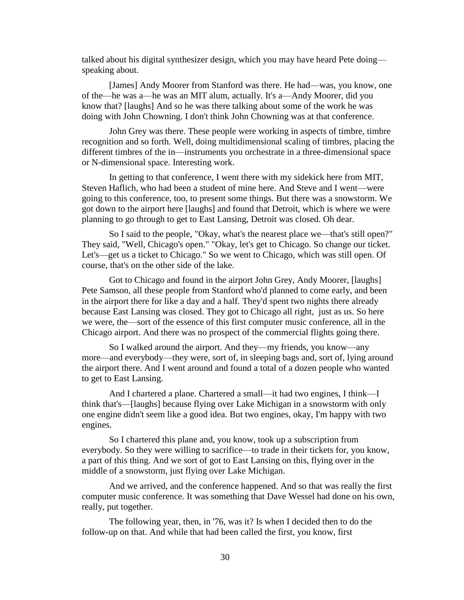talked about his digital synthesizer design, which you may have heard Pete doing speaking about.

[James] Andy Moorer from Stanford was there. He had—was, you know, one of the—he was a—he was an MIT alum, actually. It's a—Andy Moorer, did you know that? [laughs] And so he was there talking about some of the work he was doing with John Chowning. I don't think John Chowning was at that conference.

John Grey was there. These people were working in aspects of timbre, timbre recognition and so forth. Well, doing multidimensional scaling of timbres, placing the different timbres of the in—instruments you orchestrate in a three-dimensional space or N-dimensional space. Interesting work.

In getting to that conference, I went there with my sidekick here from MIT, Steven Haflich, who had been a student of mine here. And Steve and I went—were going to this conference, too, to present some things. But there was a snowstorm. We got down to the airport here [laughs] and found that Detroit, which is where we were planning to go through to get to East Lansing, Detroit was closed. Oh dear.

So I said to the people, "Okay, what's the nearest place we—that's still open?" They said, "Well, Chicago's open." "Okay, let's get to Chicago. So change our ticket. Let's—get us a ticket to Chicago." So we went to Chicago, which was still open. Of course, that's on the other side of the lake.

Got to Chicago and found in the airport John Grey, Andy Moorer, [laughs] Pete Samson, all these people from Stanford who'd planned to come early, and been in the airport there for like a day and a half. They'd spent two nights there already because East Lansing was closed. They got to Chicago all right, just as us. So here we were, the—sort of the essence of this first computer music conference, all in the Chicago airport. And there was no prospect of the commercial flights going there.

So I walked around the airport. And they—my friends, you know—any more—and everybody—they were, sort of, in sleeping bags and, sort of, lying around the airport there. And I went around and found a total of a dozen people who wanted to get to East Lansing.

And I chartered a plane. Chartered a small—it had two engines, I think—I think that's—[laughs] because flying over Lake Michigan in a snowstorm with only one engine didn't seem like a good idea. But two engines, okay, I'm happy with two engines.

So I chartered this plane and, you know, took up a subscription from everybody. So they were willing to sacrifice—to trade in their tickets for, you know, a part of this thing. And we sort of got to East Lansing on this, flying over in the middle of a snowstorm, just flying over Lake Michigan.

And we arrived, and the conference happened. And so that was really the first computer music conference. It was something that Dave Wessel had done on his own, really, put together.

The following year, then, in '76, was it? Is when I decided then to do the follow-up on that. And while that had been called the first, you know, first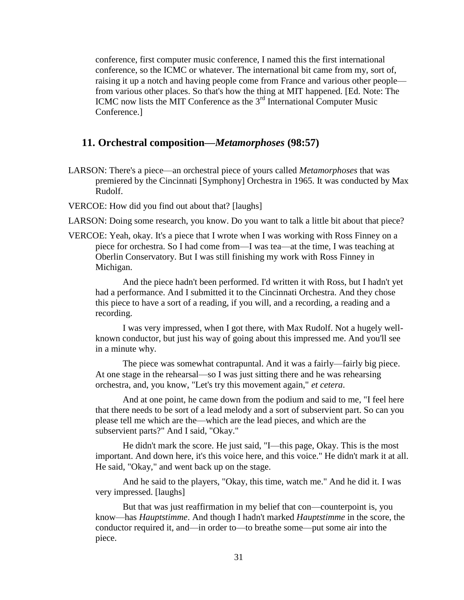conference, first computer music conference, I named this the first international conference, so the ICMC or whatever. The international bit came from my, sort of, raising it up a notch and having people come from France and various other people from various other places. So that's how the thing at MIT happened. [Ed. Note: The ICMC now lists the MIT Conference as the  $3<sup>rd</sup>$  International Computer Music Conference.]

#### **11. Orchestral composition—***Metamorphoses* **(98:57)**

LARSON: There's a piece—an orchestral piece of yours called *Metamorphoses* that was premiered by the Cincinnati [Symphony] Orchestra in 1965. It was conducted by Max Rudolf.

VERCOE: How did you find out about that? [laughs]

LARSON: Doing some research, you know. Do you want to talk a little bit about that piece?

VERCOE: Yeah, okay. It's a piece that I wrote when I was working with Ross Finney on a piece for orchestra. So I had come from—I was tea—at the time, I was teaching at Oberlin Conservatory. But I was still finishing my work with Ross Finney in Michigan.

And the piece hadn't been performed. I'd written it with Ross, but I hadn't yet had a performance. And I submitted it to the Cincinnati Orchestra. And they chose this piece to have a sort of a reading, if you will, and a recording, a reading and a recording.

I was very impressed, when I got there, with Max Rudolf. Not a hugely wellknown conductor, but just his way of going about this impressed me. And you'll see in a minute why.

The piece was somewhat contrapuntal. And it was a fairly—fairly big piece. At one stage in the rehearsal—so I was just sitting there and he was rehearsing orchestra, and, you know, "Let's try this movement again," *et cetera*.

And at one point, he came down from the podium and said to me, "I feel here that there needs to be sort of a lead melody and a sort of subservient part. So can you please tell me which are the—which are the lead pieces, and which are the subservient parts?" And I said, "Okay."

He didn't mark the score. He just said, "I—this page, Okay. This is the most important. And down here, it's this voice here, and this voice." He didn't mark it at all. He said, "Okay," and went back up on the stage.

And he said to the players, "Okay, this time, watch me." And he did it. I was very impressed. [laughs]

But that was just reaffirmation in my belief that con—counterpoint is, you know—has *Hauptstimme*. And though I hadn't marked *Hauptstimme* in the score, the conductor required it, and—in order to—to breathe some—put some air into the piece.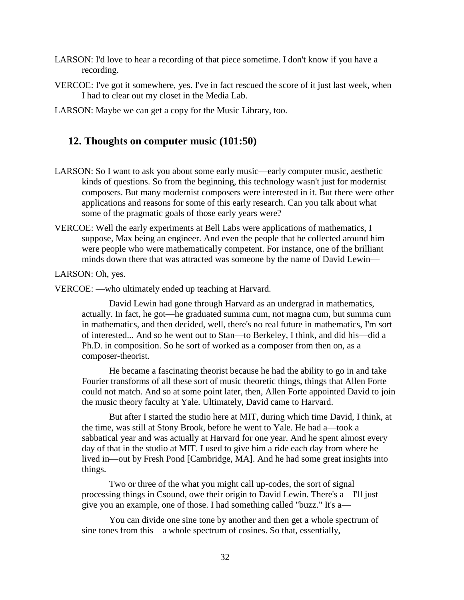- LARSON: I'd love to hear a recording of that piece sometime. I don't know if you have a recording.
- VERCOE: I've got it somewhere, yes. I've in fact rescued the score of it just last week, when I had to clear out my closet in the Media Lab.
- LARSON: Maybe we can get a copy for the Music Library, too.

### **12. Thoughts on computer music (101:50)**

- LARSON: So I want to ask you about some early music—early computer music, aesthetic kinds of questions. So from the beginning, this technology wasn't just for modernist composers. But many modernist composers were interested in it. But there were other applications and reasons for some of this early research. Can you talk about what some of the pragmatic goals of those early years were?
- VERCOE: Well the early experiments at Bell Labs were applications of mathematics, I suppose, Max being an engineer. And even the people that he collected around him were people who were mathematically competent. For instance, one of the brilliant minds down there that was attracted was someone by the name of David Lewin—

LARSON: Oh, yes.

VERCOE: —who ultimately ended up teaching at Harvard.

David Lewin had gone through Harvard as an undergrad in mathematics, actually. In fact, he got—he graduated summa cum, not magna cum, but summa cum in mathematics, and then decided, well, there's no real future in mathematics, I'm sort of interested... And so he went out to Stan—to Berkeley, I think, and did his—did a Ph.D. in composition. So he sort of worked as a composer from then on, as a composer-theorist.

He became a fascinating theorist because he had the ability to go in and take Fourier transforms of all these sort of music theoretic things, things that Allen Forte could not match. And so at some point later, then, Allen Forte appointed David to join the music theory faculty at Yale. Ultimately, David came to Harvard.

But after I started the studio here at MIT, during which time David, I think, at the time, was still at Stony Brook, before he went to Yale. He had a—took a sabbatical year and was actually at Harvard for one year. And he spent almost every day of that in the studio at MIT. I used to give him a ride each day from where he lived in—out by Fresh Pond [Cambridge, MA]. And he had some great insights into things.

Two or three of the what you might call up-codes, the sort of signal processing things in Csound, owe their origin to David Lewin. There's a—I'll just give you an example, one of those. I had something called "buzz." It's a—

You can divide one sine tone by another and then get a whole spectrum of sine tones from this—a whole spectrum of cosines. So that, essentially,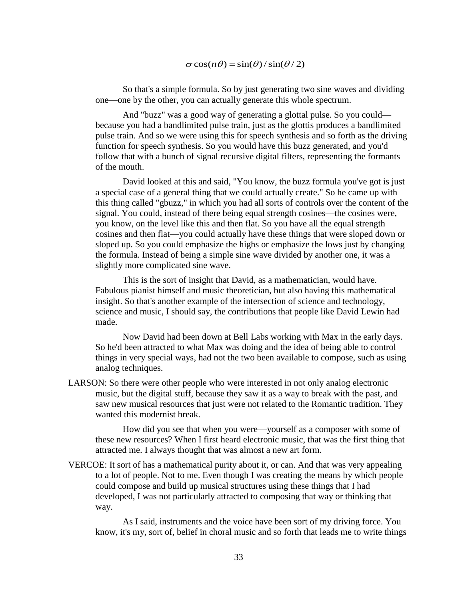#### $\sigma$ cos( $n\theta$ ) = sin( $\theta$ )/sin( $\theta$ /2)

So that's a simple formula. So by just generating two sine waves and dividing one—one by the other, you can actually generate this whole spectrum.

And "buzz" was a good way of generating a glottal pulse. So you could because you had a bandlimited pulse train, just as the glottis produces a bandlimited pulse train. And so we were using this for speech synthesis and so forth as the driving function for speech synthesis. So you would have this buzz generated, and you'd follow that with a bunch of signal recursive digital filters, representing the formants of the mouth.

David looked at this and said, "You know, the buzz formula you've got is just a special case of a general thing that we could actually create." So he came up with this thing called "gbuzz," in which you had all sorts of controls over the content of the signal. You could, instead of there being equal strength cosines—the cosines were, you know, on the level like this and then flat. So you have all the equal strength cosines and then flat—you could actually have these things that were sloped down or sloped up. So you could emphasize the highs or emphasize the lows just by changing the formula. Instead of being a simple sine wave divided by another one, it was a slightly more complicated sine wave.

This is the sort of insight that David, as a mathematician, would have. Fabulous pianist himself and music theoretician, but also having this mathematical insight. So that's another example of the intersection of science and technology, science and music, I should say, the contributions that people like David Lewin had made.

Now David had been down at Bell Labs working with Max in the early days. So he'd been attracted to what Max was doing and the idea of being able to control things in very special ways, had not the two been available to compose, such as using analog techniques.

LARSON: So there were other people who were interested in not only analog electronic music, but the digital stuff, because they saw it as a way to break with the past, and saw new musical resources that just were not related to the Romantic tradition. They wanted this modernist break.

How did you see that when you were—yourself as a composer with some of these new resources? When I first heard electronic music, that was the first thing that attracted me. I always thought that was almost a new art form.

VERCOE: It sort of has a mathematical purity about it, or can. And that was very appealing to a lot of people. Not to me. Even though I was creating the means by which people could compose and build up musical structures using these things that I had developed, I was not particularly attracted to composing that way or thinking that way.

As I said, instruments and the voice have been sort of my driving force. You know, it's my, sort of, belief in choral music and so forth that leads me to write things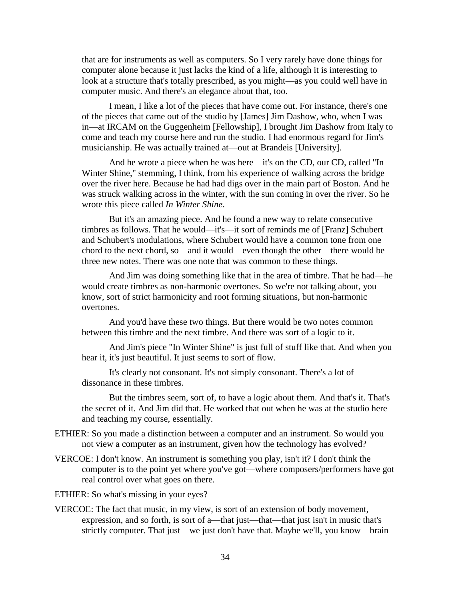that are for instruments as well as computers. So I very rarely have done things for computer alone because it just lacks the kind of a life, although it is interesting to look at a structure that's totally prescribed, as you might—as you could well have in computer music. And there's an elegance about that, too.

I mean, I like a lot of the pieces that have come out. For instance, there's one of the pieces that came out of the studio by [James] Jim Dashow, who, when I was in—at IRCAM on the Guggenheim [Fellowship], I brought Jim Dashow from Italy to come and teach my course here and run the studio. I had enormous regard for Jim's musicianship. He was actually trained at—out at Brandeis [University].

And he wrote a piece when he was here—it's on the CD, our CD, called "In Winter Shine," stemming, I think, from his experience of walking across the bridge over the river here. Because he had had digs over in the main part of Boston. And he was struck walking across in the winter, with the sun coming in over the river. So he wrote this piece called *In Winter Shine*.

But it's an amazing piece. And he found a new way to relate consecutive timbres as follows. That he would—it's—it sort of reminds me of [Franz] Schubert and Schubert's modulations, where Schubert would have a common tone from one chord to the next chord, so—and it would—even though the other—there would be three new notes. There was one note that was common to these things.

And Jim was doing something like that in the area of timbre. That he had—he would create timbres as non-harmonic overtones. So we're not talking about, you know, sort of strict harmonicity and root forming situations, but non-harmonic overtones.

And you'd have these two things. But there would be two notes common between this timbre and the next timbre. And there was sort of a logic to it.

And Jim's piece "In Winter Shine" is just full of stuff like that. And when you hear it, it's just beautiful. It just seems to sort of flow.

It's clearly not consonant. It's not simply consonant. There's a lot of dissonance in these timbres.

But the timbres seem, sort of, to have a logic about them. And that's it. That's the secret of it. And Jim did that. He worked that out when he was at the studio here and teaching my course, essentially.

- ETHIER: So you made a distinction between a computer and an instrument. So would you not view a computer as an instrument, given how the technology has evolved?
- VERCOE: I don't know. An instrument is something you play, isn't it? I don't think the computer is to the point yet where you've got—where composers/performers have got real control over what goes on there.
- ETHIER: So what's missing in your eyes?
- VERCOE: The fact that music, in my view, is sort of an extension of body movement, expression, and so forth, is sort of a—that just—that—that just isn't in music that's strictly computer. That just—we just don't have that. Maybe we'll, you know—brain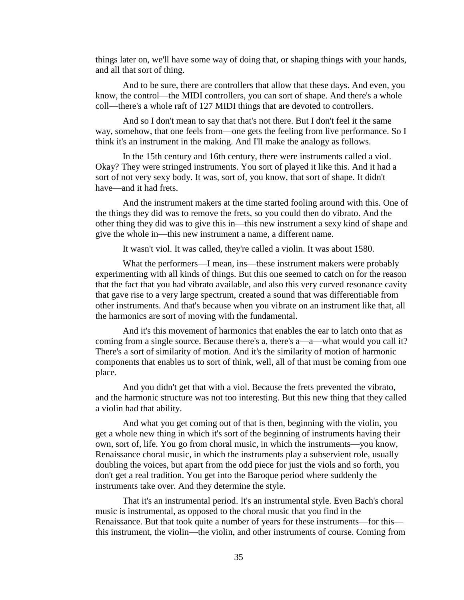things later on, we'll have some way of doing that, or shaping things with your hands, and all that sort of thing.

And to be sure, there are controllers that allow that these days. And even, you know, the control—the MIDI controllers, you can sort of shape. And there's a whole coll—there's a whole raft of 127 MIDI things that are devoted to controllers.

And so I don't mean to say that that's not there. But I don't feel it the same way, somehow, that one feels from—one gets the feeling from live performance. So I think it's an instrument in the making. And I'll make the analogy as follows.

In the 15th century and 16th century, there were instruments called a viol. Okay? They were stringed instruments. You sort of played it like this. And it had a sort of not very sexy body. It was, sort of, you know, that sort of shape. It didn't have—and it had frets.

And the instrument makers at the time started fooling around with this. One of the things they did was to remove the frets, so you could then do vibrato. And the other thing they did was to give this in—this new instrument a sexy kind of shape and give the whole in—this new instrument a name, a different name.

It wasn't viol. It was called, they're called a violin. It was about 1580.

What the performers—I mean, ins—these instrument makers were probably experimenting with all kinds of things. But this one seemed to catch on for the reason that the fact that you had vibrato available, and also this very curved resonance cavity that gave rise to a very large spectrum, created a sound that was differentiable from other instruments. And that's because when you vibrate on an instrument like that, all the harmonics are sort of moving with the fundamental.

And it's this movement of harmonics that enables the ear to latch onto that as coming from a single source. Because there's a, there's a—a—what would you call it? There's a sort of similarity of motion. And it's the similarity of motion of harmonic components that enables us to sort of think, well, all of that must be coming from one place.

And you didn't get that with a viol. Because the frets prevented the vibrato, and the harmonic structure was not too interesting. But this new thing that they called a violin had that ability.

And what you get coming out of that is then, beginning with the violin, you get a whole new thing in which it's sort of the beginning of instruments having their own, sort of, life. You go from choral music, in which the instruments—you know, Renaissance choral music, in which the instruments play a subservient role, usually doubling the voices, but apart from the odd piece for just the viols and so forth, you don't get a real tradition. You get into the Baroque period where suddenly the instruments take over. And they determine the style.

That it's an instrumental period. It's an instrumental style. Even Bach's choral music is instrumental, as opposed to the choral music that you find in the Renaissance. But that took quite a number of years for these instruments—for this this instrument, the violin—the violin, and other instruments of course. Coming from